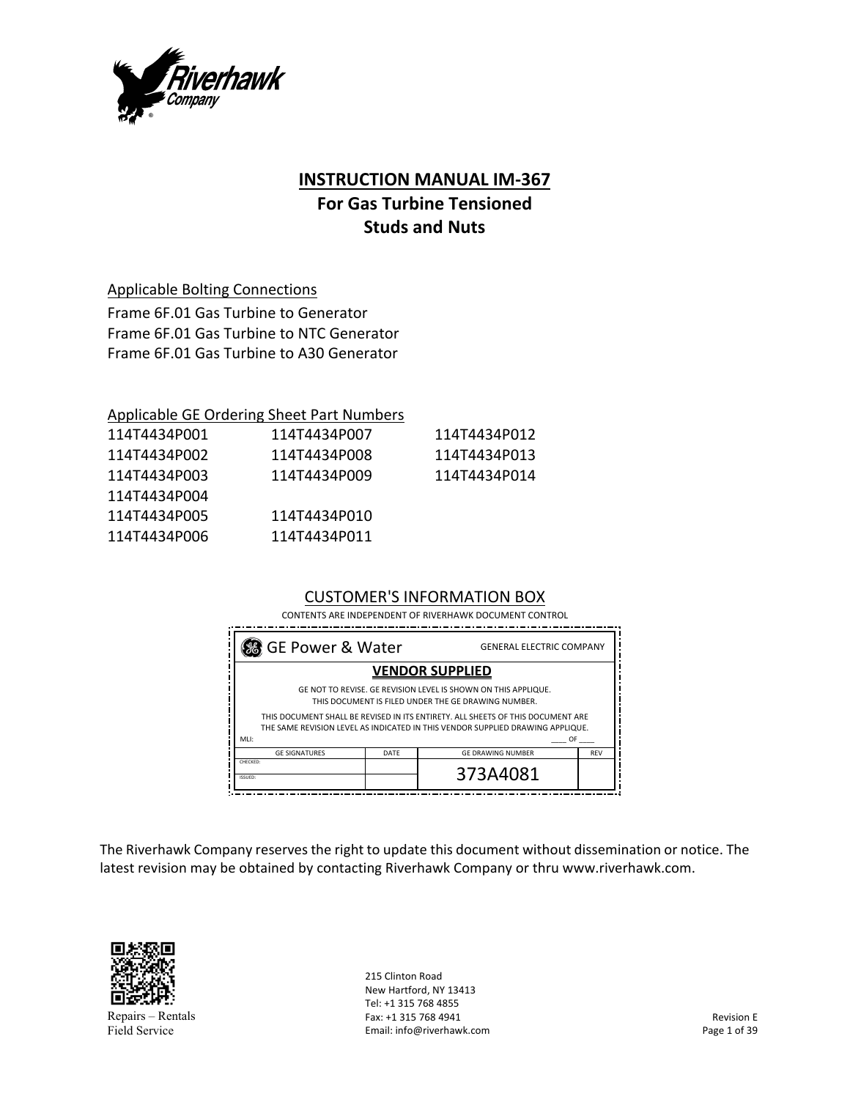

### **INSTRUCTION MANUAL IM‐367**

# **For Gas Turbine Tensioned Studs and Nuts**

Applicable Bolting Connections

Frame 6F.01 Gas Turbine to Generator Frame 6F.01 Gas Turbine to NTC Generator Frame 6F.01 Gas Turbine to A30 Generator

#### Applicable GE Ordering Sheet Part Numbers

| 114T4434P001 | 114T4434P007 | 114T4434P012 |
|--------------|--------------|--------------|
| 114T4434P002 | 114T4434P008 | 114T4434P013 |
| 114T4434P003 | 114T4434P009 | 114T4434P014 |
| 114T4434P004 |              |              |
| 114T4434P005 | 114T4434P010 |              |
| 114T4434P006 | 114T4434P011 |              |
|              |              |              |

## CUSTOMER'S INFORMATION BOX

CONTENTS ARE INDEPENDENT OF RIVERHAWK DOCUMENT CONTROL

| So GE Power & Water<br><b>GENERAL ELECTRIC COMPANY</b>                                                                                                                                                                                                                                                          |      |                          |            |
|-----------------------------------------------------------------------------------------------------------------------------------------------------------------------------------------------------------------------------------------------------------------------------------------------------------------|------|--------------------------|------------|
|                                                                                                                                                                                                                                                                                                                 |      | <b>VENDOR SUPPLIED</b>   |            |
| GE NOT TO REVISE. GE REVISION LEVEL IS SHOWN ON THIS APPLIQUE.<br>THIS DOCUMENT IS FILED UNDER THE GE DRAWING NUMBER.<br>THIS DOCUMENT SHALL BE REVISED IN ITS ENTIRETY. ALL SHEETS OF THIS DOCUMENT ARE<br>THE SAME REVISION LEVEL AS INDICATED IN THIS VENDOR SUPPLIED DRAWING APPLIQUE.<br>MLI:<br><b>OF</b> |      |                          |            |
| <b>GE SIGNATURES</b>                                                                                                                                                                                                                                                                                            | DATE | <b>GE DRAWING NUMBER</b> | <b>REV</b> |
| CHECKED:<br>ISSUED:                                                                                                                                                                                                                                                                                             |      | 373A4081                 |            |

The Riverhawk Company reserves the right to update this document without dissemination or notice. The latest revision may be obtained by contacting Riverhawk Company or thru www.riverhawk.com.



Repairs – Rentals Field Service

215 Clinton Road New Hartford, NY 13413 Tel: +1 315 768 4855 Fax: +1 315 768 4941 Email: info@riverhawk.com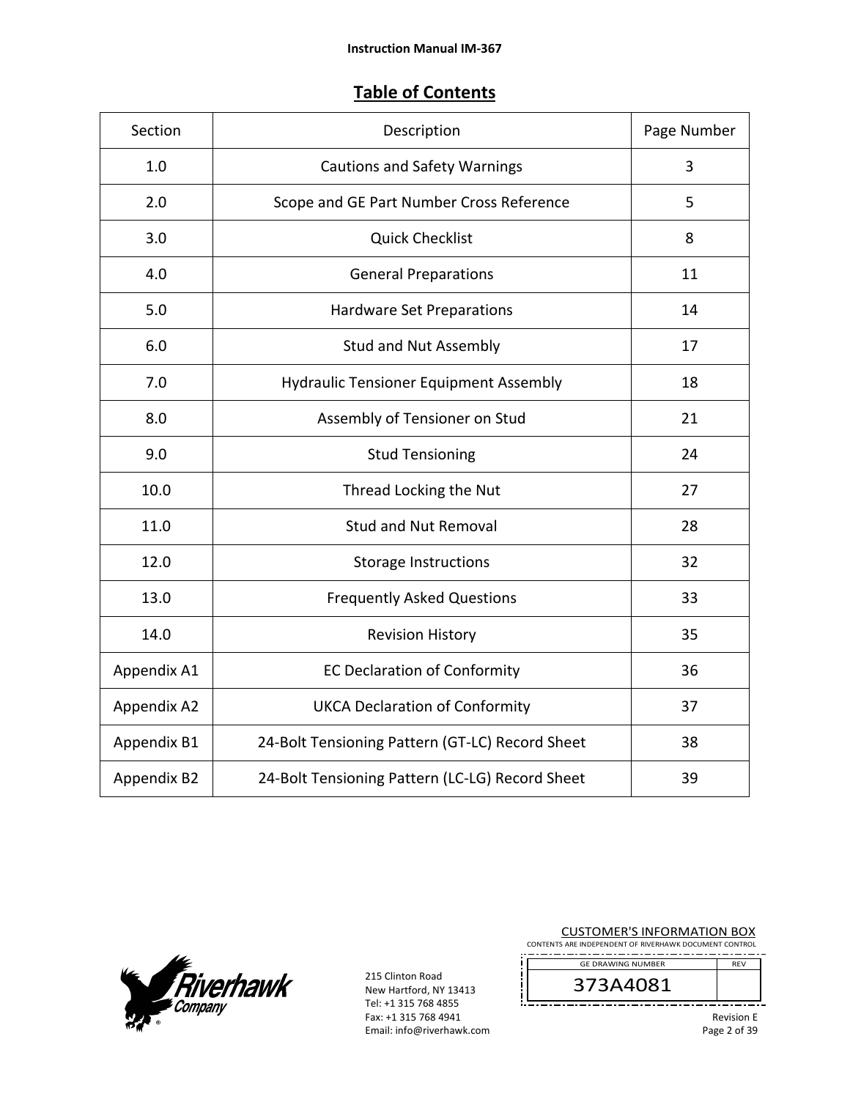# **Table of Contents**

| Section     | Description                                     | Page Number |
|-------------|-------------------------------------------------|-------------|
| 1.0         | <b>Cautions and Safety Warnings</b>             | 3           |
| 2.0         | Scope and GE Part Number Cross Reference        | 5           |
| 3.0         | <b>Quick Checklist</b>                          | 8           |
| 4.0         | <b>General Preparations</b>                     | 11          |
| 5.0         | Hardware Set Preparations                       | 14          |
| 6.0         | <b>Stud and Nut Assembly</b>                    | 17          |
| 7.0         | <b>Hydraulic Tensioner Equipment Assembly</b>   | 18          |
| 8.0         | Assembly of Tensioner on Stud                   | 21          |
| 9.0         | <b>Stud Tensioning</b>                          | 24          |
| 10.0        | Thread Locking the Nut                          | 27          |
| 11.0        | <b>Stud and Nut Removal</b>                     | 28          |
| 12.0        | <b>Storage Instructions</b>                     | 32          |
| 13.0        | <b>Frequently Asked Questions</b>               | 33          |
| 14.0        | <b>Revision History</b>                         | 35          |
| Appendix A1 | <b>EC Declaration of Conformity</b>             | 36          |
| Appendix A2 | <b>UKCA Declaration of Conformity</b>           | 37          |
| Appendix B1 | 24-Bolt Tensioning Pattern (GT-LC) Record Sheet | 38          |
| Appendix B2 | 24-Bolt Tensioning Pattern (LC-LG) Record Sheet | 39          |



215 Clinton Road New Hartford, NY 13413 Tel: +1 315 768 4855 Fax: +1 315 768 4941 Email: info@riverhawk.com

| <b>CUSTOMER'S INFORMATION BOX</b><br>CONTENTS ARE INDEPENDENT OF RIVERHAWK DOCUMENT CONTROL |                          |                   |
|---------------------------------------------------------------------------------------------|--------------------------|-------------------|
|                                                                                             | <b>GF DRAWING NUMBER</b> | <b>RFV</b>        |
|                                                                                             | 373A4081                 |                   |
|                                                                                             |                          | <b>Revision E</b> |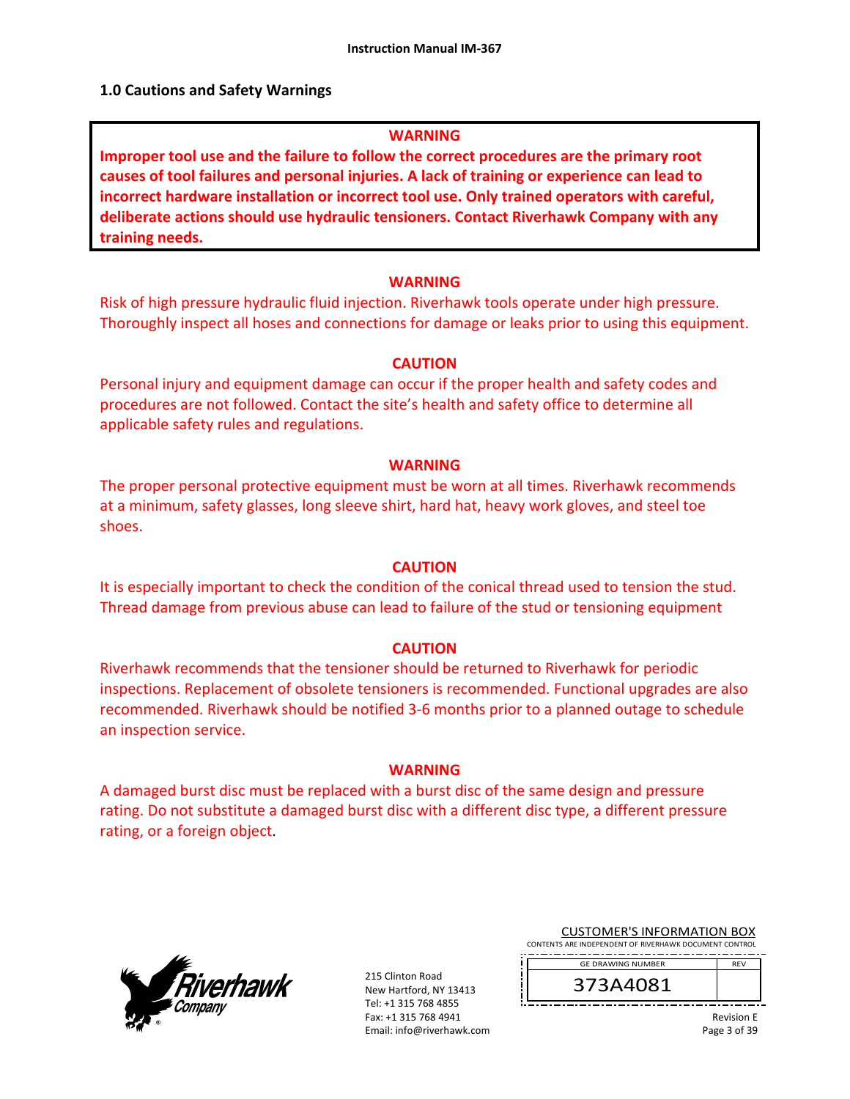#### **1.0 Cautions and Safety Warnings**

#### **WARNING**

**Improper tool use and the failure to follow the correct procedures are the primary root causes of tool failures and personal injuries. A lack of training or experience can lead to incorrect hardware installation or incorrect tool use. Only trained operators with careful, deliberate actions should use hydraulic tensioners. Contact Riverhawk Company with any training needs.** 

#### **WARNING**

Risk of high pressure hydraulic fluid injection. Riverhawk tools operate under high pressure. Thoroughly inspect all hoses and connections for damage or leaks prior to using this equipment.

#### **CAUTION**

Personal injury and equipment damage can occur if the proper health and safety codes and procedures are not followed. Contact the site's health and safety office to determine all applicable safety rules and regulations.

#### **WARNING**

The proper personal protective equipment must be worn at all times. Riverhawk recommends at a minimum, safety glasses, long sleeve shirt, hard hat, heavy work gloves, and steel toe shoes.

#### **CAUTION**

It is especially important to check the condition of the conical thread used to tension the stud. Thread damage from previous abuse can lead to failure of the stud or tensioning equipment

#### **CAUTION**

Riverhawk recommends that the tensioner should be returned to Riverhawk for periodic inspections. Replacement of obsolete tensioners is recommended. Functional upgrades are also recommended. Riverhawk should be notified 3‐6 months prior to a planned outage to schedule an inspection service.

#### **WARNING**

A damaged burst disc must be replaced with a burst disc of the same design and pressure rating. Do not substitute a damaged burst disc with a different disc type, a different pressure rating, or a foreign object.



215 Clinton Road New Hartford, NY 13413 Tel: +1 315 768 4855 Fax: +1 315 768 4941 Email: info@riverhawk.com

CUSTOMER'S INFORMATION BOX CONTENTS ARE INDEPENDENT OF RIVERHAWK DOCUMENT CONTROL

. . <u>. . . . . . . . . . . . . . . . .</u> GE DRAWING NUMBER REV

373A4081

Revision E Page 3 of 39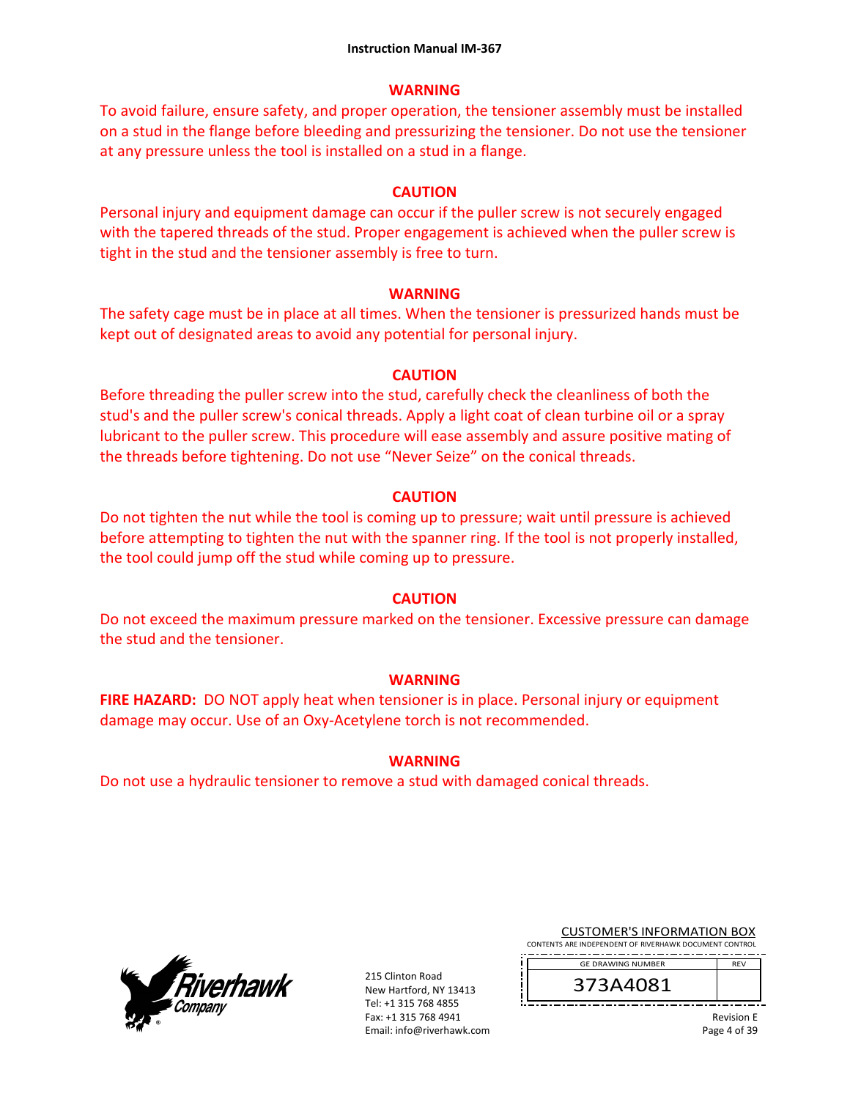### **WARNING**

To avoid failure, ensure safety, and proper operation, the tensioner assembly must be installed on a stud in the flange before bleeding and pressurizing the tensioner. Do not use the tensioner at any pressure unless the tool is installed on a stud in a flange.

### **CAUTION**

Personal injury and equipment damage can occur if the puller screw is not securely engaged with the tapered threads of the stud. Proper engagement is achieved when the puller screw is tight in the stud and the tensioner assembly is free to turn.

### **WARNING**

The safety cage must be in place at all times. When the tensioner is pressurized hands must be kept out of designated areas to avoid any potential for personal injury.

### **CAUTION**

Before threading the puller screw into the stud, carefully check the cleanliness of both the stud's and the puller screw's conical threads. Apply a light coat of clean turbine oil or a spray lubricant to the puller screw. This procedure will ease assembly and assure positive mating of the threads before tightening. Do not use "Never Seize" on the conical threads.

### **CAUTION**

Do not tighten the nut while the tool is coming up to pressure; wait until pressure is achieved before attempting to tighten the nut with the spanner ring. If the tool is not properly installed, the tool could jump off the stud while coming up to pressure.

## **CAUTION**

Do not exceed the maximum pressure marked on the tensioner. Excessive pressure can damage the stud and the tensioner.

### **WARNING**

**FIRE HAZARD:** DO NOT apply heat when tensioner is in place. Personal injury or equipment damage may occur. Use of an Oxy‐Acetylene torch is not recommended.

## **WARNING**

Do not use a hydraulic tensioner to remove a stud with damaged conical threads.



215 Clinton Road New Hartford, NY 13413 Tel: +1 315 768 4855 Fax: +1 315 768 4941 Email: info@riverhawk.com CUSTOMER'S INFORMATION BOX

CONTENTS ARE INDEPENDENT OF RIVERHAWK DOCUMENT CONTROL GE DRAWING NUMBER REV

373A4081

Revision E Page 4 of 39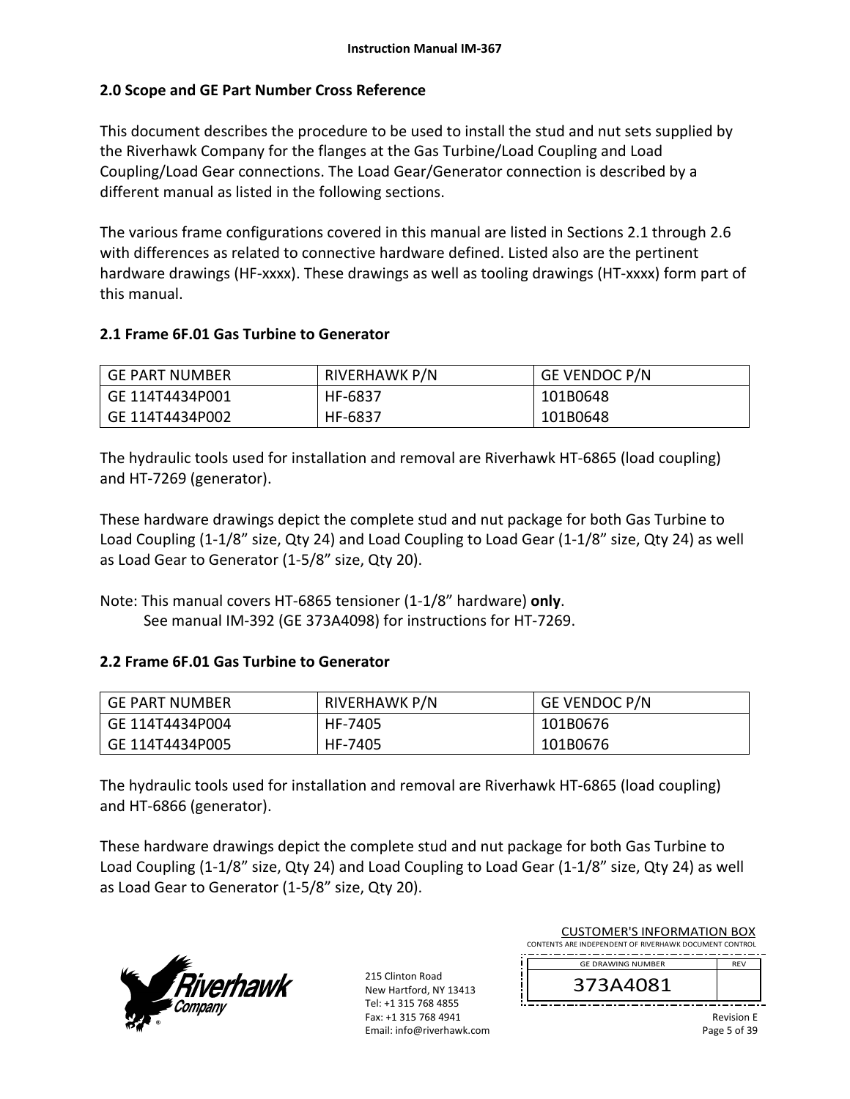### **2.0 Scope and GE Part Number Cross Reference**

This document describes the procedure to be used to install the stud and nut sets supplied by the Riverhawk Company for the flanges at the Gas Turbine/Load Coupling and Load Coupling/Load Gear connections. The Load Gear/Generator connection is described by a different manual as listed in the following sections.

The various frame configurations covered in this manual are listed in Sections 2.1 through 2.6 with differences as related to connective hardware defined. Listed also are the pertinent hardware drawings (HF-xxxx). These drawings as well as tooling drawings (HT-xxxx) form part of this manual.

### **2.1 Frame 6F.01 Gas Turbine to Generator**

| GE PART NUMBER  | RIVERHAWK P/N | <b>GE VENDOC P/N</b> |
|-----------------|---------------|----------------------|
| GE 114T4434P001 | HF-6837       | 101B0648             |
| GE 114T4434P002 | HF-6837       | 101B0648             |

The hydraulic tools used for installation and removal are Riverhawk HT‐6865 (load coupling) and HT‐7269 (generator).

These hardware drawings depict the complete stud and nut package for both Gas Turbine to Load Coupling (1‐1/8" size, Qty 24) and Load Coupling to Load Gear (1‐1/8" size, Qty 24) as well as Load Gear to Generator (1‐5/8" size, Qty 20).

Note: This manual covers HT‐6865 tensioner (1‐1/8" hardware) **only**. See manual IM‐392 (GE 373A4098) for instructions for HT‐7269.

### **2.2 Frame 6F.01 Gas Turbine to Generator**

| GE PART NUMBER  | <b>RIVERHAWK P/N</b> | GE VENDOC P/N |
|-----------------|----------------------|---------------|
| GE 114T4434P004 | HF-7405              | 101B0676      |
| GE 114T4434P005 | HF-7405              | 101B0676      |

The hydraulic tools used for installation and removal are Riverhawk HT‐6865 (load coupling) and HT‐6866 (generator).

These hardware drawings depict the complete stud and nut package for both Gas Turbine to Load Coupling (1‐1/8" size, Qty 24) and Load Coupling to Load Gear (1‐1/8" size, Qty 24) as well as Load Gear to Generator (1‐5/8" size, Qty 20).



215 Clinton Road New Hartford, NY 13413 Tel: +1 315 768 4855 Fax: +1 315 768 4941 Email: info@riverhawk.com

| CUSTUIVIEN 3 INFUNIVIATIUN BUA<br>CONTENTS ARE INDEPENDENT OF RIVERHAWK DOCUMENT CONTROL |                   |
|------------------------------------------------------------------------------------------|-------------------|
| <b>GE DRAWING NUMBER</b>                                                                 | <b>RFV</b>        |
| 373A4081                                                                                 |                   |
|                                                                                          | <b>Dovicion</b> E |

CUCTOMER'S INFORMATION BOY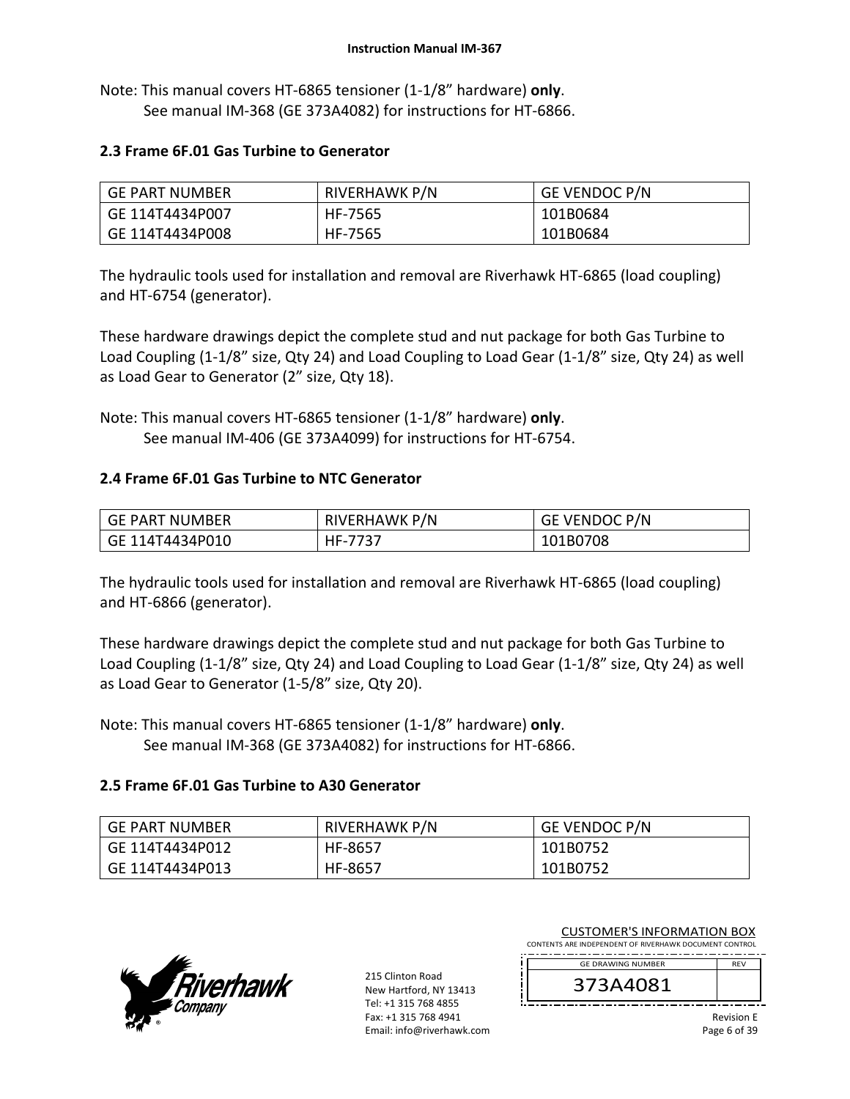Note: This manual covers HT‐6865 tensioner (1‐1/8" hardware) **only**. See manual IM‐368 (GE 373A4082) for instructions for HT‐6866.

#### **2.3 Frame 6F.01 Gas Turbine to Generator**

| GE PART NUMBER  | RIVERHAWK P/N | <b>GE VENDOC P/N</b> |
|-----------------|---------------|----------------------|
| GE 114T4434P007 | HF-7565       | 101B0684             |
| GE 114T4434P008 | HF-7565       | 101B0684             |

The hydraulic tools used for installation and removal are Riverhawk HT‐6865 (load coupling) and HT‐6754 (generator).

These hardware drawings depict the complete stud and nut package for both Gas Turbine to Load Coupling (1‐1/8" size, Qty 24) and Load Coupling to Load Gear (1‐1/8" size, Qty 24) as well as Load Gear to Generator (2" size, Qty 18).

Note: This manual covers HT‐6865 tensioner (1‐1/8" hardware) **only**. See manual IM‐406 (GE 373A4099) for instructions for HT‐6754.

#### **2.4 Frame 6F.01 Gas Turbine to NTC Generator**

| GE PART NUMBER  | RIVERHAWK P/N | GE VENDOC P/N |
|-----------------|---------------|---------------|
| GE 114T4434P010 | HF-7737       | 101B0708      |

The hydraulic tools used for installation and removal are Riverhawk HT‐6865 (load coupling) and HT‐6866 (generator).

These hardware drawings depict the complete stud and nut package for both Gas Turbine to Load Coupling (1‐1/8" size, Qty 24) and Load Coupling to Load Gear (1‐1/8" size, Qty 24) as well as Load Gear to Generator (1‐5/8" size, Qty 20).

Note: This manual covers HT‐6865 tensioner (1‐1/8" hardware) **only**. See manual IM‐368 (GE 373A4082) for instructions for HT‐6866.

#### **2.5 Frame 6F.01 Gas Turbine to A30 Generator**

| I GE PART NUMBER | RIVERHAWK P/N | <b>GE VENDOC P/N</b> |
|------------------|---------------|----------------------|
| GE 114T4434P012  | HF-8657       | 101B0752             |
| GE 114T4434P013  | HF-8657       | 101B0752             |



215 Clinton Road New Hartford, NY 13413 Tel: +1 315 768 4855 Fax: +1 315 768 4941 Email: info@riverhawk.com CUSTOMER'S INFORMATION BOX

CONTENTS ARE INDEPENDENT OF RIVERHAWK DOCUMENT CONTROL GE DRAWING NUMBER

373A4081

Revision E Page 6 of 39

REV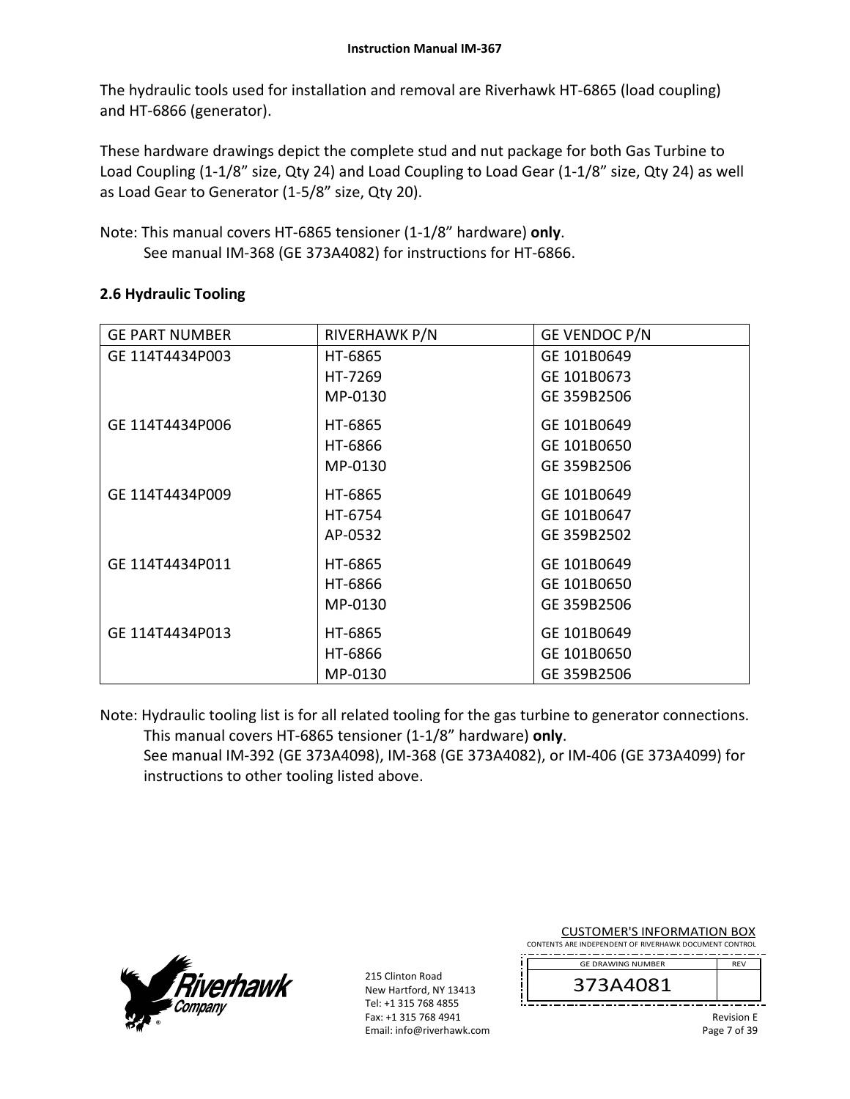The hydraulic tools used for installation and removal are Riverhawk HT‐6865 (load coupling) and HT‐6866 (generator).

These hardware drawings depict the complete stud and nut package for both Gas Turbine to Load Coupling (1‐1/8" size, Qty 24) and Load Coupling to Load Gear (1‐1/8" size, Qty 24) as well as Load Gear to Generator (1‐5/8" size, Qty 20).

Note: This manual covers HT‐6865 tensioner (1‐1/8" hardware) **only**. See manual IM‐368 (GE 373A4082) for instructions for HT‐6866.

| <b>GE PART NUMBER</b> | RIVERHAWK P/N | GE VENDOC P/N |
|-----------------------|---------------|---------------|
| GE 114T4434P003       | HT-6865       | GE 101B0649   |
|                       | HT-7269       | GE 101B0673   |
|                       | MP-0130       | GE 359B2506   |
| GE 114T4434P006       | HT-6865       | GE 101B0649   |
|                       | HT-6866       | GE 101B0650   |
|                       | MP-0130       | GE 359B2506   |
| GE 114T4434P009       | HT-6865       | GE 101B0649   |
|                       | HT-6754       | GE 101B0647   |
|                       | AP-0532       | GE 359B2502   |
| GE 114T4434P011       | HT-6865       | GE 101B0649   |
|                       | HT-6866       | GE 101B0650   |
|                       | MP-0130       | GE 359B2506   |
| GE 114T4434P013       | HT-6865       | GE 101B0649   |
|                       | HT-6866       | GE 101B0650   |
|                       | MP-0130       | GE 359B2506   |

## **2.6 Hydraulic Tooling**

Note: Hydraulic tooling list is for all related tooling for the gas turbine to generator connections. This manual covers HT‐6865 tensioner (1‐1/8" hardware) **only**. See manual IM‐392 (GE 373A4098), IM‐368 (GE 373A4082), or IM‐406 (GE 373A4099) for

instructions to other tooling listed above.



215 Clinton Road New Hartford, NY 13413 Tel: +1 315 768 4855 Fax: +1 315 768 4941 Email: info@riverhawk.com

| CONTENTS ARE INDEPENDENT OF RIVERHAWK DOCUMENT CONTROL |            |
|--------------------------------------------------------|------------|
| <b>GE DRAWING NUMBER</b>                               | <b>RFV</b> |
| 373A4081                                               |            |
|                                                        |            |

CUSTOMER'S INFORMATION BOX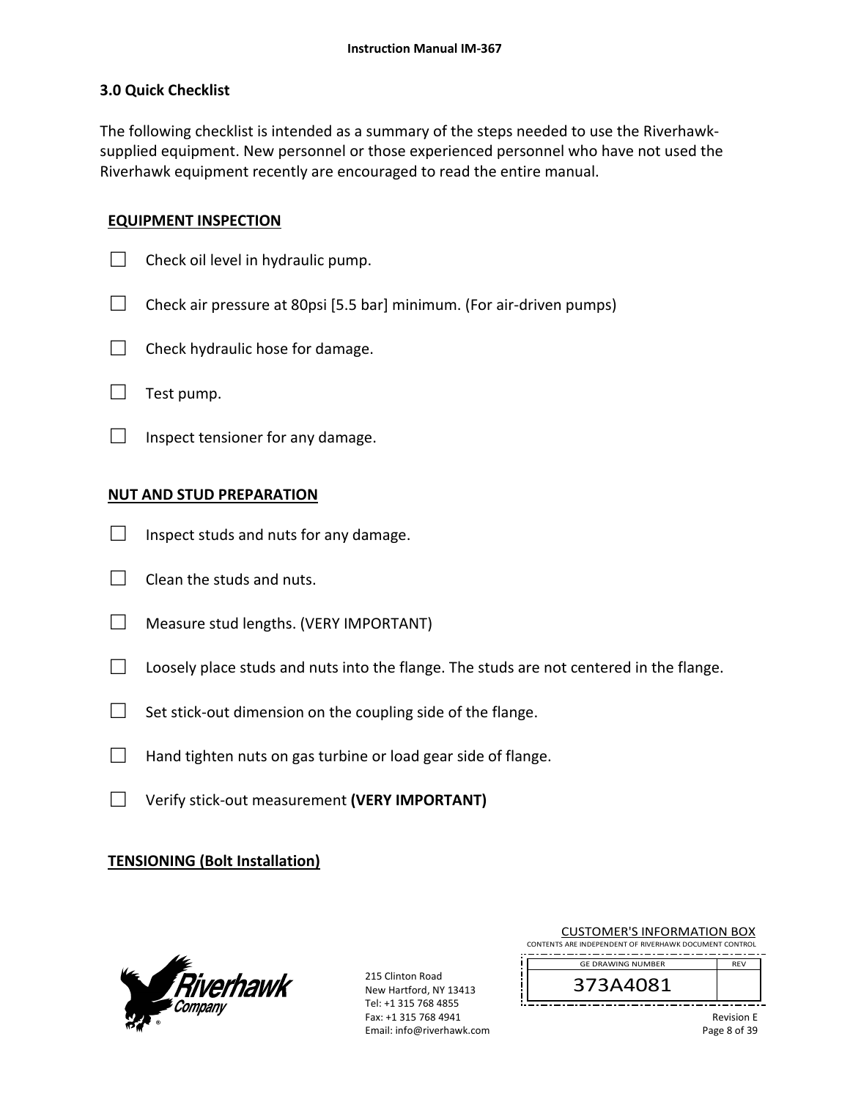### **3.0 Quick Checklist**

The following checklist is intended as a summary of the steps needed to use the Riverhawk‐ supplied equipment. New personnel or those experienced personnel who have not used the Riverhawk equipment recently are encouraged to read the entire manual.

### **EQUIPMENT INSPECTION**

- $\Box$  Check oil level in hydraulic pump.
- $\Box$  Check air pressure at 80psi [5.5 bar] minimum. (For air-driven pumps)
- $\Box$  Check hydraulic hose for damage.
- $\Box$  Test pump.
- $\Box$  Inspect tensioner for any damage.

## **NUT AND STUD PREPARATION**

- $\Box$  Inspect studs and nuts for any damage.
- $\Box$  Clean the studs and nuts.
- $\Box$  Measure stud lengths. (VERY IMPORTANT)
- $\Box$  Loosely place studs and nuts into the flange. The studs are not centered in the flange.
- $\Box$  Set stick-out dimension on the coupling side of the flange.
- $\Box$  Hand tighten nuts on gas turbine or load gear side of flange.
- □ Verify stick‐out measurement **(VERY IMPORTANT)**

## **TENSIONING (Bolt Installation)**



215 Clinton Road New Hartford, NY 13413 Tel: +1 315 768 4855 Fax: +1 315 768 4941 Email: info@riverhawk.com

| CONTENTS ARE INDEPENDENT OF RIVERHAWK DOCUMENT CONTROL |            |
|--------------------------------------------------------|------------|
| <b>GE DRAWING NUMBER</b>                               | <b>RFV</b> |
| 373A4081                                               |            |
|                                                        | . .        |

CUSTOMER'S INFORMATION BOX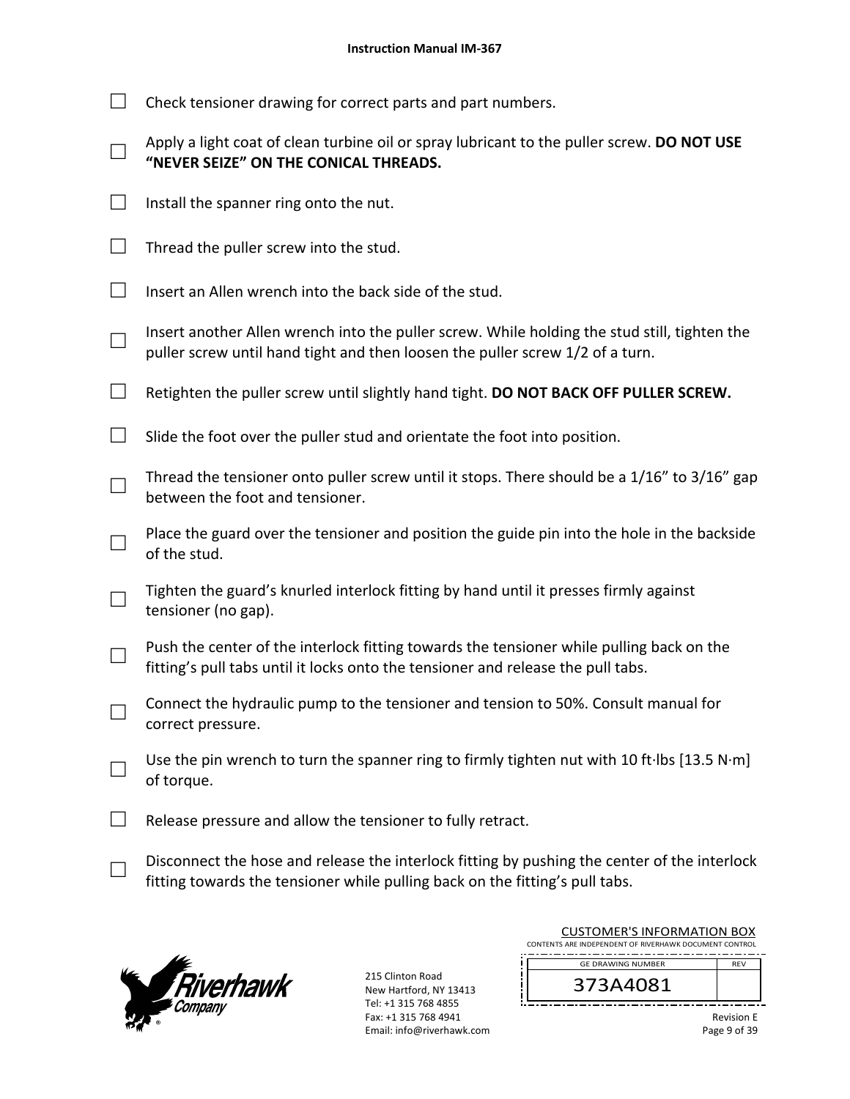| $\Box$ Check tensioner drawing for correct parts and part numbers. |  |  |  |
|--------------------------------------------------------------------|--|--|--|
|                                                                    |  |  |  |

| Apply a light coat of clean turbine oil or spray lubricant to the puller screw. DO NOT USE |
|--------------------------------------------------------------------------------------------|
| "NEVER SEIZE" ON THE CONICAL THREADS.                                                      |

- $\Box$  Install the spanner ring onto the nut.
- $\Box$  Thread the puller screw into the stud.
- $\Box$  Insert an Allen wrench into the back side of the stud.
- □ Insert another Allen wrench into the puller screw. While holding the stud still, tighten the puller screw until hand tight and then loosen the puller screw 1/2 of a turn.
- □ Retighten the puller screw until slightly hand tight. **DO NOT BACK OFF PULLER SCREW.**
- $\Box$  Slide the foot over the puller stud and orientate the foot into position.
- □ Thread the tensioner onto puller screw until it stops. There should be a 1/16" to 3/16" gap between the foot and tensioner.
- □ Place the guard over the tensioner and position the guide pin into the hole in the backside of the stud.
- □ Tighten the guard's knurled interlock fitting by hand until it presses firmly against tensioner (no gap).
- □ Push the center of the interlock fitting towards the tensioner while pulling back on the fitting's pull tabs until it locks onto the tensioner and release the pull tabs.
- □ Connect the hydraulic pump to the tensioner and tension to 50%. Consult manual for correct pressure.
- □ Use the pin wrench to turn the spanner ring to firmly tighten nut with 10 ft∙lbs [13.5 N∙m] of torque.
- $\Box$  Release pressure and allow the tensioner to fully retract.
- □ Disconnect the hose and release the interlock fitting by pushing the center of the interlock fitting towards the tensioner while pulling back on the fitting's pull tabs.



215 Clinton Road New Hartford, NY 13413 Tel: +1 315 768 4855 Fax: +1 315 768 4941 Email: info@riverhawk.com

| COSTOIVIER 3 INFORMATION BOA                           |            |
|--------------------------------------------------------|------------|
| CONTENTS ARE INDEPENDENT OF RIVERHAWK DOCUMENT CONTROL |            |
|                                                        |            |
| <b>GE DRAWING NUMBER</b>                               | <b>RFV</b> |
|                                                        |            |
| 373A4081                                               |            |
|                                                        |            |
|                                                        |            |

CUSTOMER'S INFORMATION BOY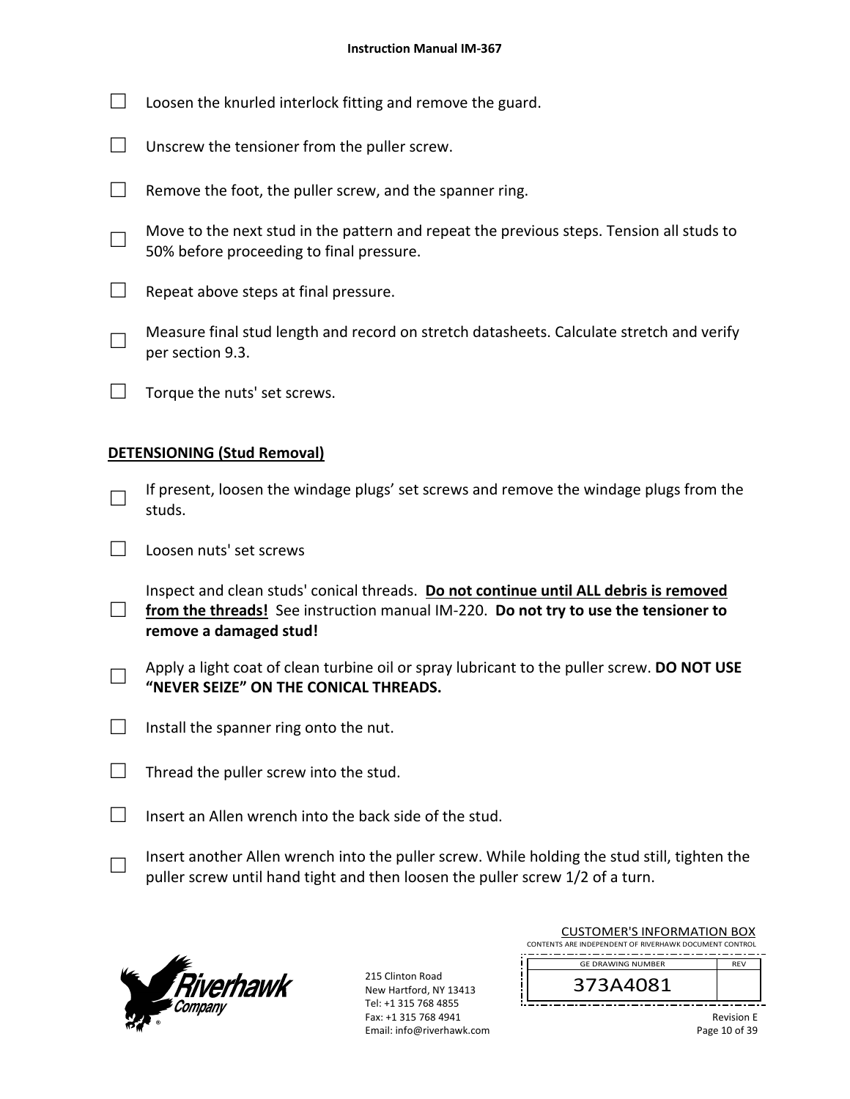- $\Box$  Loosen the knurled interlock fitting and remove the guard.
- □ Unscrew the tensioner from the puller screw.
- $\Box$  Remove the foot, the puller screw, and the spanner ring.
- □ Move to the next stud in the pattern and repeat the previous steps. Tension all studs to 50% before proceeding to final pressure.
- $\Box$  Repeat above steps at final pressure.
- □ Measure final stud length and record on stretch datasheets. Calculate stretch and verify per section 9.3.
- $\Box$  Torque the nuts' set screws.

### **DETENSIONING (Stud Removal)**

- □ If present, loosen the windage plugs' set screws and remove the windage plugs from the studs.
- □ Loosen nuts' set screws
- □ from the threads! See instruction manual IM-220. **Do not try to use the tensioner to** Inspect and clean studs' conical threads. **Do not continue until ALL debris is removed remove a damaged stud!**
- □ Apply a light coat of clean turbine oil or spray lubricant to the puller screw. **DO NOT USE "NEVER SEIZE" ON THE CONICAL THREADS.**
- $\Box$  Install the spanner ring onto the nut.
- $\Box$  Thread the puller screw into the stud.
- $\Box$  Insert an Allen wrench into the back side of the stud.
	- Insert another Allen wrench into the puller screw. While holding the stud still, tighten the puller screw until hand tight and then loosen the puller screw 1/2 of a turn.



□

215 Clinton Road New Hartford, NY 13413 Tel: +1 315 768 4855 Fax: +1 315 768 4941 Email: info@riverhawk.com

|          | CUSTUMER S INFORMATION BUX                             |            |
|----------|--------------------------------------------------------|------------|
|          | CONTENTS ARE INDEPENDENT OF RIVERHAWK DOCUMENT CONTROL |            |
|          | <b>GE DRAWING NUMBER</b>                               | <b>RFV</b> |
|          |                                                        |            |
| 373A4081 |                                                        |            |
|          |                                                        |            |

CUCTOMER'S INFORMATION BOY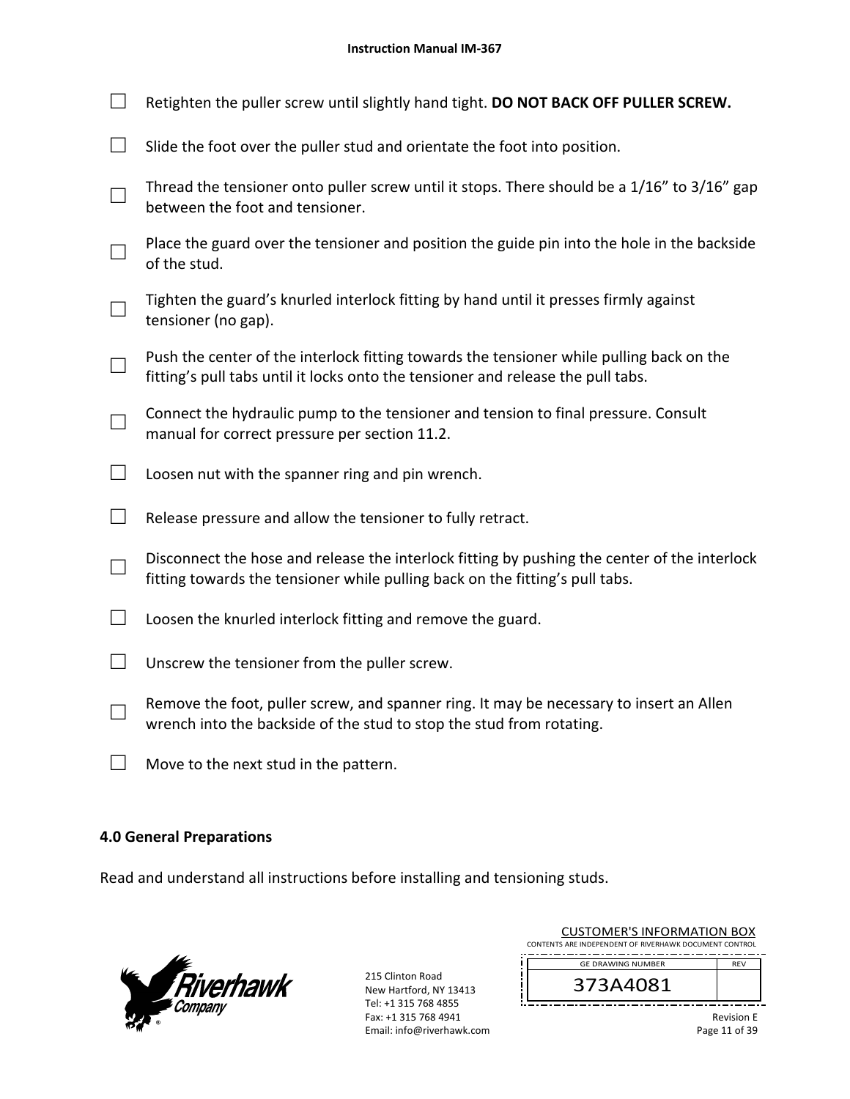| Retighten the puller screw until slightly hand tight. DO NOT BACK OFF PULLER SCREW.                                                                                          |
|------------------------------------------------------------------------------------------------------------------------------------------------------------------------------|
| Slide the foot over the puller stud and orientate the foot into position.                                                                                                    |
| Thread the tensioner onto puller screw until it stops. There should be a 1/16" to 3/16" gap<br>between the foot and tensioner.                                               |
| Place the guard over the tensioner and position the guide pin into the hole in the backside<br>of the stud.                                                                  |
| Tighten the guard's knurled interlock fitting by hand until it presses firmly against<br>tensioner (no gap).                                                                 |
| Push the center of the interlock fitting towards the tensioner while pulling back on the<br>fitting's pull tabs until it locks onto the tensioner and release the pull tabs. |
| Connect the hydraulic pump to the tensioner and tension to final pressure. Consult<br>manual for correct pressure per section 11.2.                                          |
| Loosen nut with the spanner ring and pin wrench.                                                                                                                             |
| Release pressure and allow the tensioner to fully retract.                                                                                                                   |
| Disconnect the hose and release the interlock fitting by pushing the center of the interlock<br>fitting towards the tensioner while pulling back on the fitting's pull tabs. |
| Loosen the knurled interlock fitting and remove the guard.                                                                                                                   |
| Unscrew the tensioner from the puller screw.                                                                                                                                 |
| Remove the foot, puller screw, and spanner ring. It may be necessary to insert an Allen<br>wrench into the backside of the stud to stop the stud from rotating.              |

□ Move to the next stud in the pattern.

# **4.0 General Preparations**

Read and understand all instructions before installing and tensioning studs.



215 Clinton Road New Hartford, NY 13413 Tel: +1 315 768 4855 Fax: +1 315 768 4941 Email: info@riverhawk.com íг

| <b>CUSTOMER'S INFORMATION BOX</b>                      |            |
|--------------------------------------------------------|------------|
| CONTENTS ARE INDEPENDENT OF RIVERHAWK DOCUMENT CONTROL |            |
| <b>GE DRAWING NUMBER</b>                               | <b>REV</b> |
|                                                        |            |

373A4081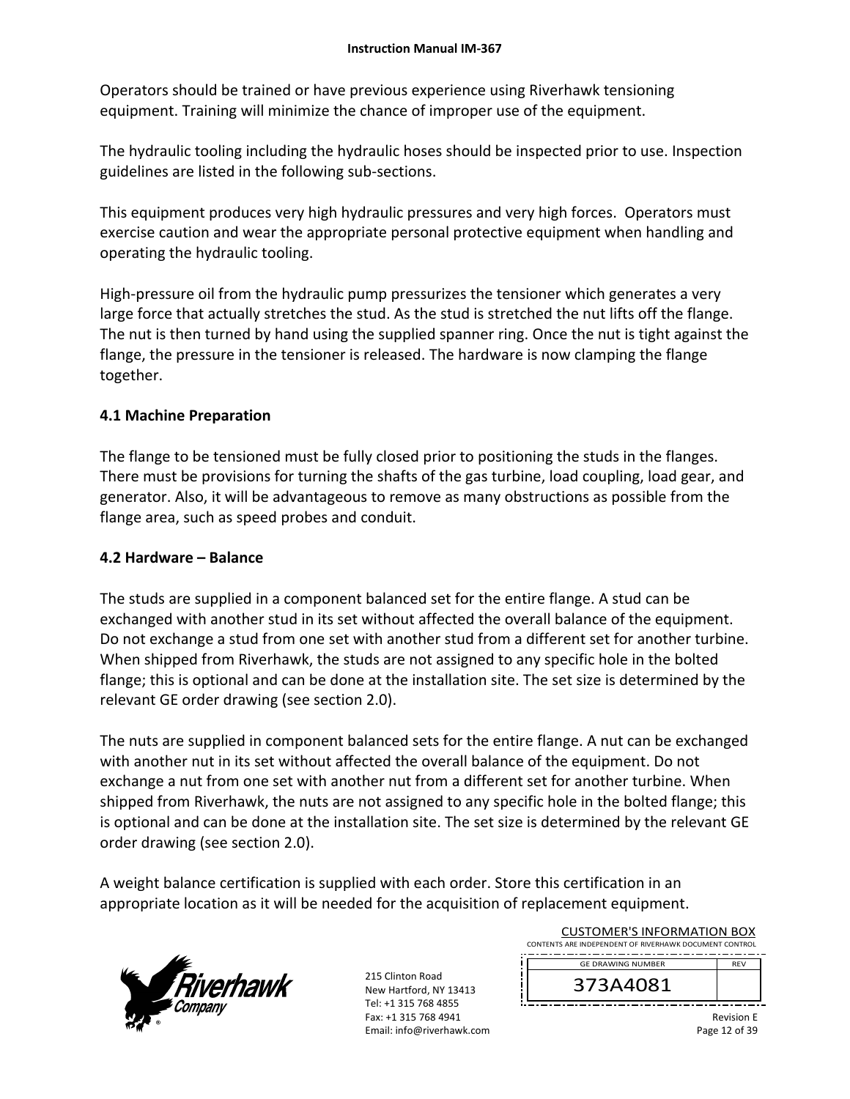Operators should be trained or have previous experience using Riverhawk tensioning equipment. Training will minimize the chance of improper use of the equipment.

The hydraulic tooling including the hydraulic hoses should be inspected prior to use. Inspection guidelines are listed in the following sub‐sections.

This equipment produces very high hydraulic pressures and very high forces. Operators must exercise caution and wear the appropriate personal protective equipment when handling and operating the hydraulic tooling.

High-pressure oil from the hydraulic pump pressurizes the tensioner which generates a very large force that actually stretches the stud. As the stud is stretched the nut lifts off the flange. The nut is then turned by hand using the supplied spanner ring. Once the nut is tight against the flange, the pressure in the tensioner is released. The hardware is now clamping the flange together.

# **4.1 Machine Preparation**

The flange to be tensioned must be fully closed prior to positioning the studs in the flanges. There must be provisions for turning the shafts of the gas turbine, load coupling, load gear, and generator. Also, it will be advantageous to remove as many obstructions as possible from the flange area, such as speed probes and conduit.

## **4.2 Hardware – Balance**

The studs are supplied in a component balanced set for the entire flange. A stud can be exchanged with another stud in its set without affected the overall balance of the equipment. Do not exchange a stud from one set with another stud from a different set for another turbine. When shipped from Riverhawk, the studs are not assigned to any specific hole in the bolted flange; this is optional and can be done at the installation site. The set size is determined by the relevant GE order drawing (see section 2.0).

The nuts are supplied in component balanced sets for the entire flange. A nut can be exchanged with another nut in its set without affected the overall balance of the equipment. Do not exchange a nut from one set with another nut from a different set for another turbine. When shipped from Riverhawk, the nuts are not assigned to any specific hole in the bolted flange; this is optional and can be done at the installation site. The set size is determined by the relevant GE order drawing (see section 2.0).

A weight balance certification is supplied with each order. Store this certification in an appropriate location as it will be needed for the acquisition of replacement equipment.



215 Clinton Road New Hartford, NY 13413 Tel: +1 315 768 4855 Fax: +1 315 768 4941 Email: info@riverhawk.com

| COSTONIER 3 INTORNATION BOA                            |            |
|--------------------------------------------------------|------------|
| CONTENTS ARE INDEPENDENT OF RIVERHAWK DOCUMENT CONTROL |            |
| <b>GE DRAWING NUMBER</b>                               | <b>RFV</b> |
| 373A4081                                               |            |

CUSTOMER'S INFORMATION BOY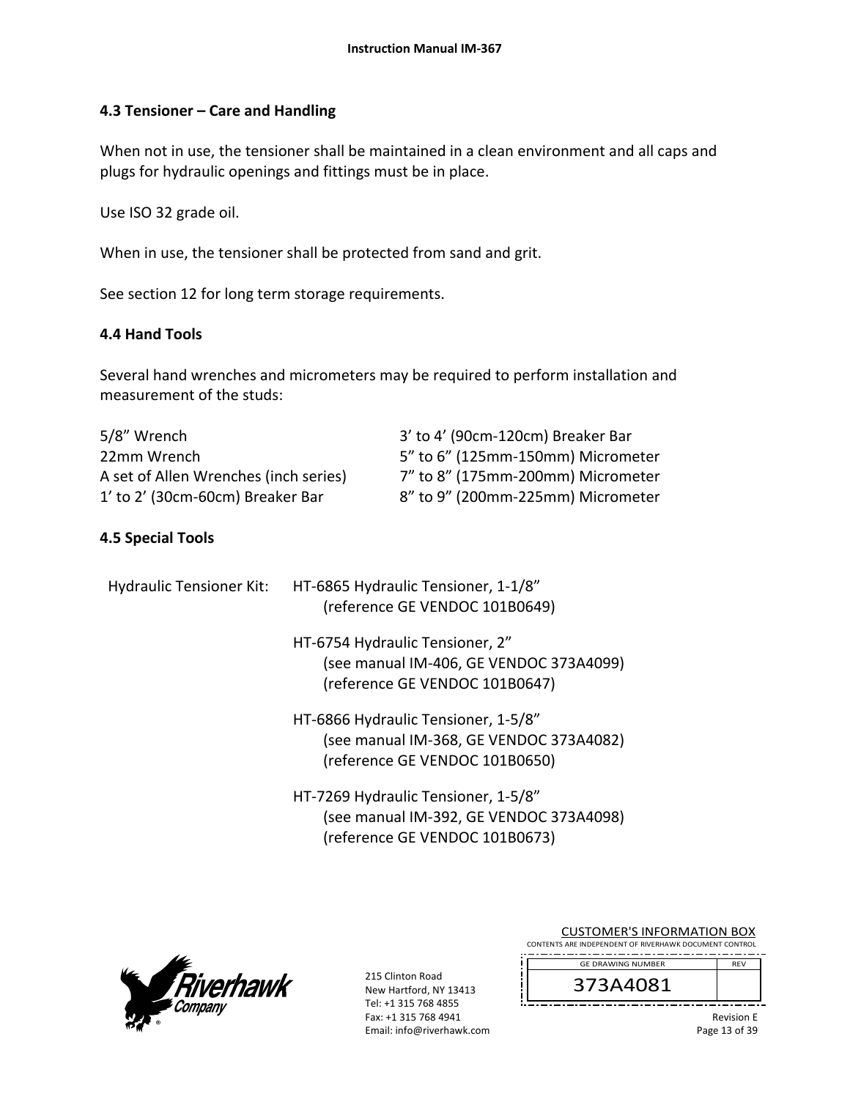### **4.3 Tensioner – Care and Handling**

When not in use, the tensioner shall be maintained in a clean environment and all caps and plugs for hydraulic openings and fittings must be in place.

Use ISO 32 grade oil.

When in use, the tensioner shall be protected from sand and grit.

See section 12 for long term storage requirements.

### **4.4 Hand Tools**

Several hand wrenches and micrometers may be required to perform installation and measurement of the studs:

| 5/8" Wrench                           | 3' to 4' (90cm-120cm) Breaker Bar |
|---------------------------------------|-----------------------------------|
| 22mm Wrench                           | 5" to 6" (125mm-150mm) Micrometer |
| A set of Allen Wrenches (inch series) | 7" to 8" (175mm-200mm) Micrometer |
| 1' to 2' (30cm-60cm) Breaker Bar      | 8" to 9" (200mm-225mm) Micrometer |

### **4.5 Special Tools**

| <b>Hydraulic Tensioner Kit:</b> | HT-6865 Hydraulic Tensioner, 1-1/8"<br>(reference GE VENDOC 101B0649)                                            |
|---------------------------------|------------------------------------------------------------------------------------------------------------------|
|                                 | HT-6754 Hydraulic Tensioner, 2"<br>(see manual IM-406, GE VENDOC 373A4099)<br>(reference GE VENDOC 101B0647)     |
|                                 | HT-6866 Hydraulic Tensioner, 1-5/8"<br>(see manual IM-368, GE VENDOC 373A4082)<br>(reference GE VENDOC 101B0650) |
|                                 | HT-7269 Hydraulic Tensioner, 1-5/8"<br>(see manual IM-392, GE VENDOC 373A4098)<br>(reference GE VENDOC 101B0673) |



215 Clinton Road New Hartford, NY 13413 Tel: +1 315 768 4855 Fax: +1 315 768 4941 Email: info@riverhawk.com

| CONTENTS ARE INDEPENDENT OF RIVERHAWK DOCUMENT CONTROL |            |
|--------------------------------------------------------|------------|
| <b>GE DRAWING NUMBER</b>                               | <b>RFV</b> |
| 373A408                                                |            |

CUSTOMER'S INFORMATION BOX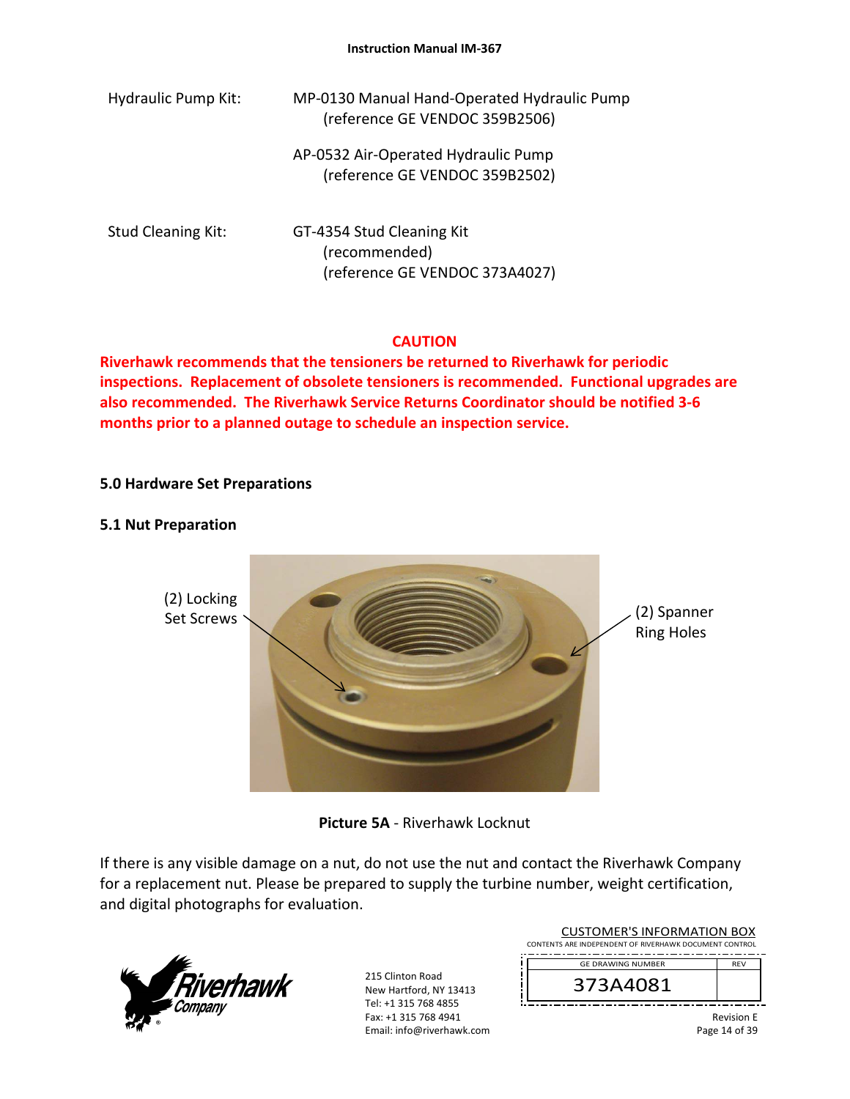| <b>Hydraulic Pump Kit:</b> | MP-0130 Manual Hand-Operated Hydraulic Pump<br>(reference GE VENDOC 359B2506) |
|----------------------------|-------------------------------------------------------------------------------|
|                            | AP-0532 Air-Operated Hydraulic Pump<br>(reference GE VENDOC 359B2502)         |
| <b>Stud Cleaning Kit:</b>  | GT-4354 Stud Cleaning Kit<br>(recommended)<br>(reference GE VENDOC 373A4027)  |

#### **CAUTION**

**Riverhawk recommends that the tensioners be returned to Riverhawk for periodic inspections. Replacement of obsolete tensioners is recommended. Functional upgrades are also recommended. The Riverhawk Service Returns Coordinator should be notified 3‐6 months prior to a planned outage to schedule an inspection service.** 

### **5.0 Hardware Set Preparations**

#### **5.1 Nut Preparation**



**Picture 5A** ‐ Riverhawk Locknut

If there is any visible damage on a nut, do not use the nut and contact the Riverhawk Company for a replacement nut. Please be prepared to supply the turbine number, weight certification, and digital photographs for evaluation.



215 Clinton Road New Hartford, NY 13413 Tel: +1 315 768 4855 Fax: +1 315 768 4941 Email: info@riverhawk.com

| <b>CUSTOMER'S INFORMATION BOX</b><br>CONTENTS ARE INDEPENDENT OF RIVERHAWK DOCUMENT CONTROL |                   |
|---------------------------------------------------------------------------------------------|-------------------|
| <b>GE DRAWING NUMBER</b>                                                                    | <b>RFV</b>        |
| 373A4081                                                                                    |                   |
|                                                                                             | <b>Dovicion</b> E |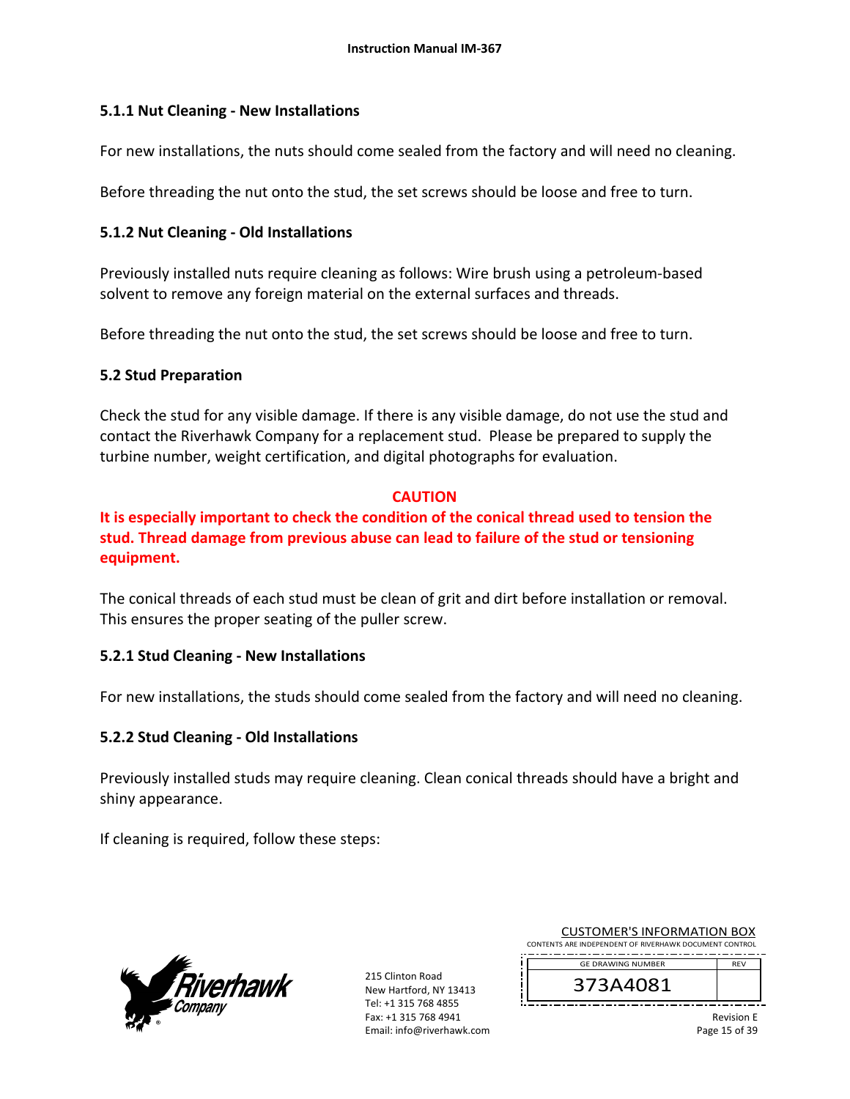### **5.1.1 Nut Cleaning ‐ New Installations**

For new installations, the nuts should come sealed from the factory and will need no cleaning.

Before threading the nut onto the stud, the set screws should be loose and free to turn.

### **5.1.2 Nut Cleaning ‐ Old Installations**

Previously installed nuts require cleaning as follows: Wire brush using a petroleum‐based solvent to remove any foreign material on the external surfaces and threads.

Before threading the nut onto the stud, the set screws should be loose and free to turn.

### **5.2 Stud Preparation**

Check the stud for any visible damage. If there is any visible damage, do not use the stud and contact the Riverhawk Company for a replacement stud. Please be prepared to supply the turbine number, weight certification, and digital photographs for evaluation.

### **CAUTION**

**It is especially important to check the condition of the conical thread used to tension the stud. Thread damage from previous abuse can lead to failure of the stud or tensioning equipment.**

The conical threads of each stud must be clean of grit and dirt before installation or removal. This ensures the proper seating of the puller screw.

## **5.2.1 Stud Cleaning ‐ New Installations**

For new installations, the studs should come sealed from the factory and will need no cleaning.

## **5.2.2 Stud Cleaning ‐ Old Installations**

Previously installed studs may require cleaning. Clean conical threads should have a bright and shiny appearance.

If cleaning is required, follow these steps:



215 Clinton Road New Hartford, NY 13413 Tel: +1 315 768 4855 Fax: +1 315 768 4941 Email: info@riverhawk.com

| <b>CUSTOMER'S INFORMATION BOX</b>                      |            |
|--------------------------------------------------------|------------|
| CONTENTS ARE INDEPENDENT OF RIVERHAWK DOCUMENT CONTROL |            |
|                                                        |            |
| <b>GE DRAWING NUMBER</b>                               | <b>RFV</b> |

373A4081

Revision E Page 15 of 39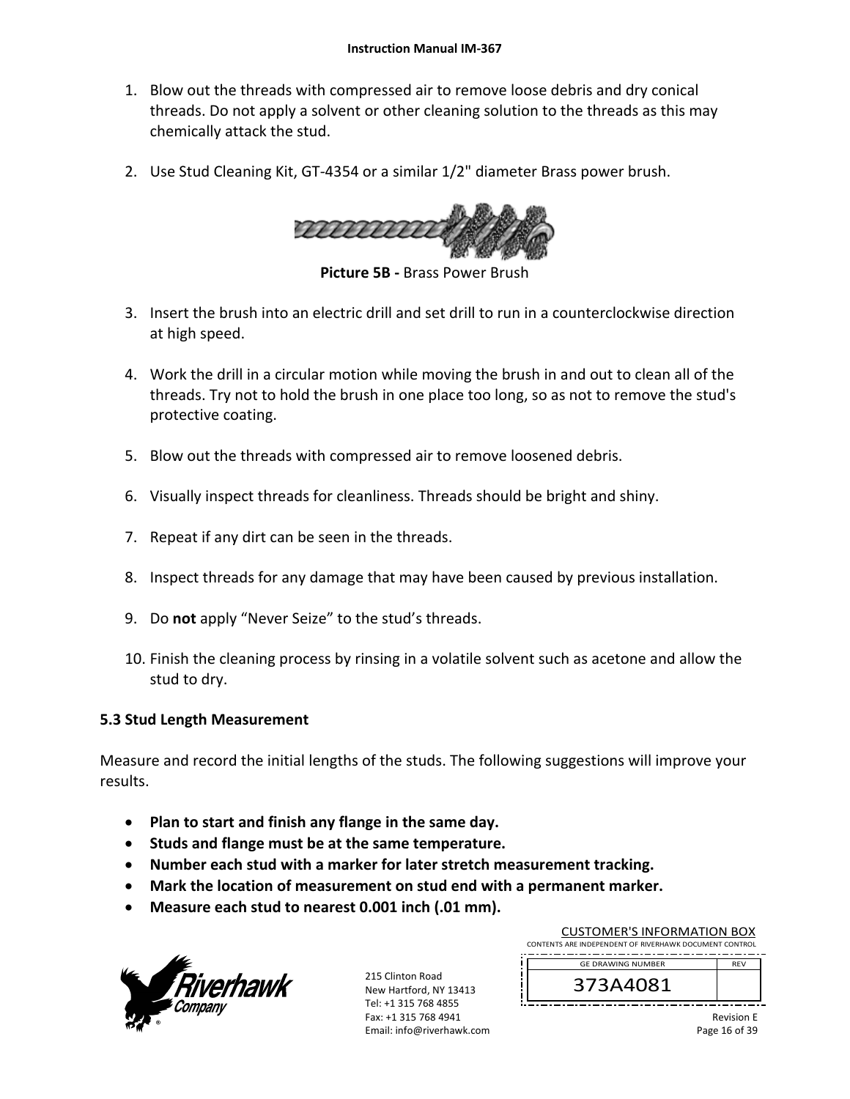- 1. Blow out the threads with compressed air to remove loose debris and dry conical threads. Do not apply a solvent or other cleaning solution to the threads as this may chemically attack the stud.
- 2. Use Stud Cleaning Kit, GT‐4354 or a similar 1/2" diameter Brass power brush.



**Picture 5B ‐** Brass Power Brush

- 3. Insert the brush into an electric drill and set drill to run in a counterclockwise direction at high speed.
- 4. Work the drill in a circular motion while moving the brush in and out to clean all of the threads. Try not to hold the brush in one place too long, so as not to remove the stud's protective coating.
- 5. Blow out the threads with compressed air to remove loosened debris.
- 6. Visually inspect threads for cleanliness. Threads should be bright and shiny.
- 7. Repeat if any dirt can be seen in the threads.
- 8. Inspect threads for any damage that may have been caused by previous installation.
- 9. Do **not** apply "Never Seize" to the stud's threads.
- 10. Finish the cleaning process by rinsing in a volatile solvent such as acetone and allow the stud to dry.

### **5.3 Stud Length Measurement**

Measure and record the initial lengths of the studs. The following suggestions will improve your results.

- **Plan to start and finish any flange in the same day.**
- **Studs and flange must be at the same temperature.**
- **Number each stud with a marker for later stretch measurement tracking.**
- **Mark the location of measurement on stud end with a permanent marker.**
- **Measure each stud to nearest 0.001 inch (.01 mm).**



215 Clinton Road New Hartford, NY 13413 Tel: +1 315 768 4855 Fax: +1 315 768 4941 Email: info@riverhawk.com

| CUSTUIVIEN 3 INFUNIVIATION BUA                         |            |  |  |
|--------------------------------------------------------|------------|--|--|
| CONTENTS ARE INDEPENDENT OF RIVERHAWK DOCUMENT CONTROL |            |  |  |
| <b>GE DRAWING NUMBER</b>                               | <b>RFV</b> |  |  |
| 373A4081                                               |            |  |  |
|                                                        |            |  |  |

CUCTOMER'S INFORMATION BOY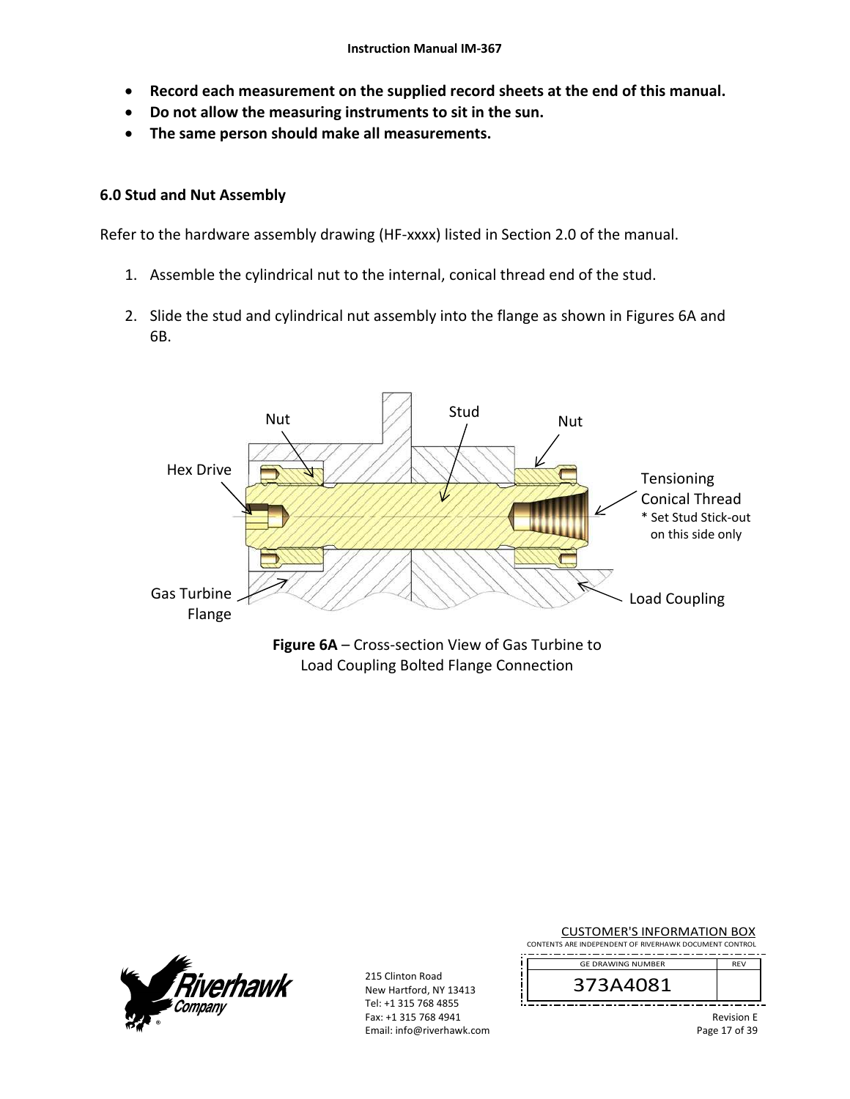- **Record each measurement on the supplied record sheets at the end of this manual.**
- **Do not allow the measuring instruments to sit in the sun.**
- **The same person should make all measurements.**

#### **6.0 Stud and Nut Assembly**

Refer to the hardware assembly drawing (HF‐xxxx) listed in Section 2.0 of the manual.

- 1. Assemble the cylindrical nut to the internal, conical thread end of the stud.
- 2. Slide the stud and cylindrical nut assembly into the flange as shown in Figures 6A and 6B.



Load Coupling Bolted Flange Connection



215 Clinton Road New Hartford, NY 13413 Tel: +1 315 768 4855 Fax: +1 315 768 4941 Email: info@riverhawk.com

| CONTENTS ARE INDEPENDENT OF RIVERHAWK DOCUMENT CONTROL |                                    |  |
|--------------------------------------------------------|------------------------------------|--|
| <b>GE DRAWING NUMBER</b>                               | <b>RFV</b>                         |  |
| 373A4081                                               |                                    |  |
|                                                        | <b>Revision E</b><br>Page 17 of 39 |  |

CUSTOMER'S INFORMATION BOX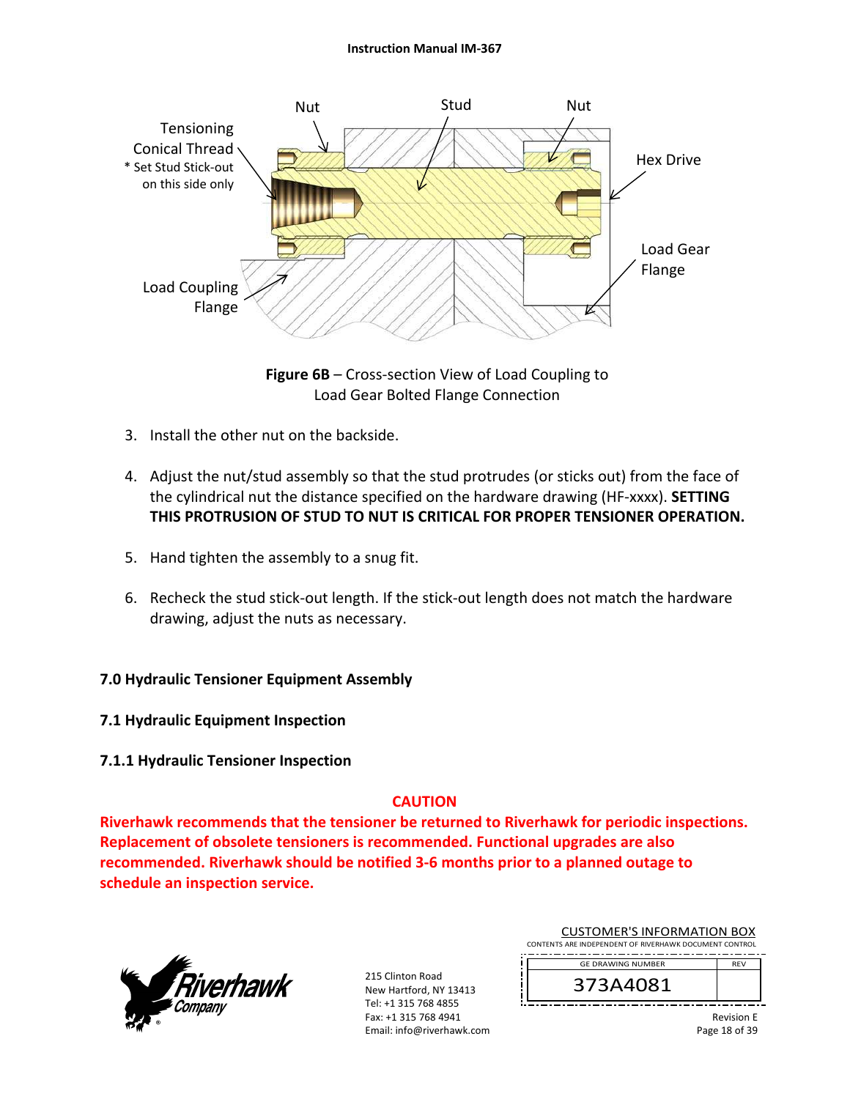

**Figure 6B** – Cross‐section View of Load Coupling to Load Gear Bolted Flange Connection

- 3. Install the other nut on the backside.
- 4. Adjust the nut/stud assembly so that the stud protrudes (or sticks out) from the face of the cylindrical nut the distance specified on the hardware drawing (HF‐xxxx). **SETTING THIS PROTRUSION OF STUD TO NUT IS CRITICAL FOR PROPER TENSIONER OPERATION.**
- 5. Hand tighten the assembly to a snug fit.
- 6. Recheck the stud stick‐out length. If the stick‐out length does not match the hardware drawing, adjust the nuts as necessary.

## **7.0 Hydraulic Tensioner Equipment Assembly**

- **7.1 Hydraulic Equipment Inspection**
- **7.1.1 Hydraulic Tensioner Inspection**

## **CAUTION**

**Riverhawk recommends that the tensioner be returned to Riverhawk for periodic inspections. Replacement of obsolete tensioners is recommended. Functional upgrades are also recommended. Riverhawk should be notified 3‐6 months prior to a planned outage to schedule an inspection service.** 



215 Clinton Road New Hartford, NY 13413 Tel: +1 315 768 4855 Fax: +1 315 768 4941 Email: info@riverhawk.com

| <b>CUSTOMER'S INFORMATION BOX</b>                      |  |  |
|--------------------------------------------------------|--|--|
| CONTENTS ARE INDEPENDENT OF RIVERHAWK DOCUMENT CONTROL |  |  |
| <b>RFV</b><br><b>GE DRAWING NUMBER</b>                 |  |  |

373A4081

Revision E Page 18 of 39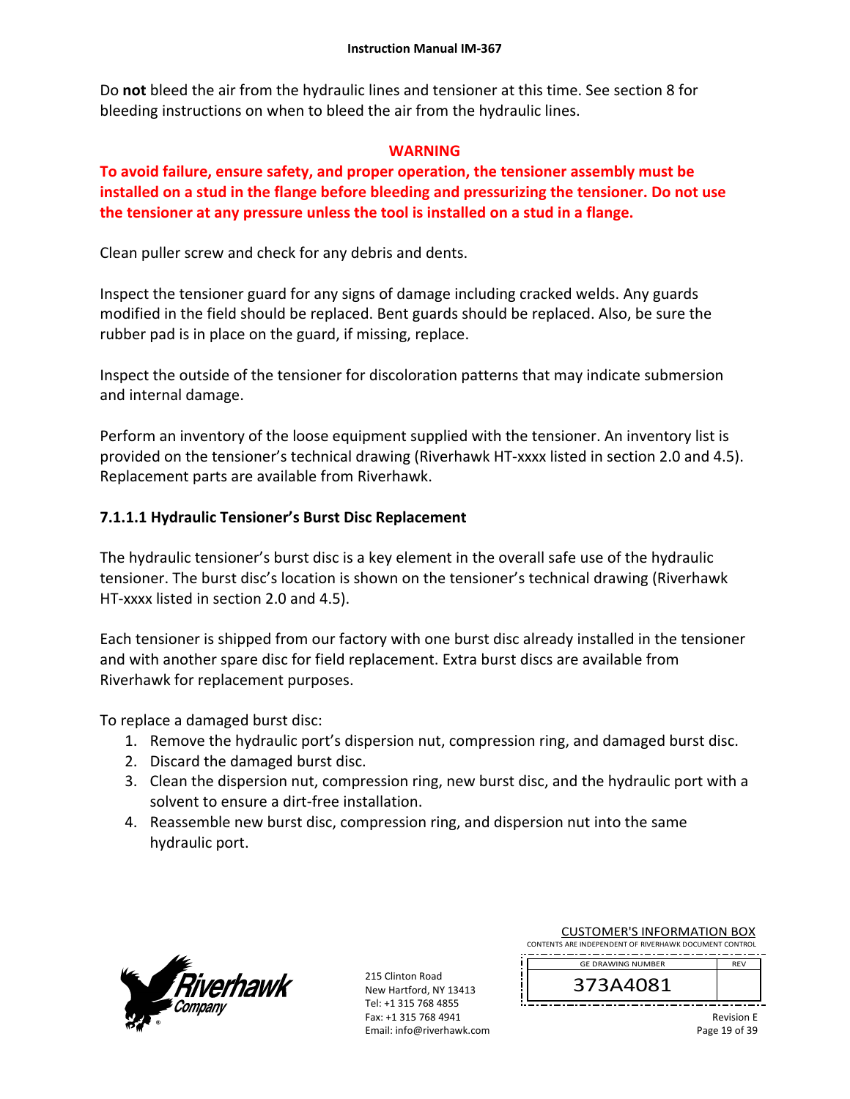Do **not** bleed the air from the hydraulic lines and tensioner at this time. See section 8 for bleeding instructions on when to bleed the air from the hydraulic lines.

## **WARNING**

# **To avoid failure, ensure safety, and proper operation, the tensioner assembly must be installed on a stud in the flange before bleeding and pressurizing the tensioner. Do not use the tensioner at any pressure unless the tool is installed on a stud in a flange.**

Clean puller screw and check for any debris and dents.

Inspect the tensioner guard for any signs of damage including cracked welds. Any guards modified in the field should be replaced. Bent guards should be replaced. Also, be sure the rubber pad is in place on the guard, if missing, replace.

Inspect the outside of the tensioner for discoloration patterns that may indicate submersion and internal damage.

Perform an inventory of the loose equipment supplied with the tensioner. An inventory list is provided on the tensioner's technical drawing (Riverhawk HT‐xxxx listed in section 2.0 and 4.5). Replacement parts are available from Riverhawk.

# **7.1.1.1 Hydraulic Tensioner's Burst Disc Replacement**

The hydraulic tensioner's burst disc is a key element in the overall safe use of the hydraulic tensioner. The burst disc's location is shown on the tensioner's technical drawing (Riverhawk HT‐xxxx listed in section 2.0 and 4.5).

Each tensioner is shipped from our factory with one burst disc already installed in the tensioner and with another spare disc for field replacement. Extra burst discs are available from Riverhawk for replacement purposes.

To replace a damaged burst disc:

- 1. Remove the hydraulic port's dispersion nut, compression ring, and damaged burst disc.
- 2. Discard the damaged burst disc.
- 3. Clean the dispersion nut, compression ring, new burst disc, and the hydraulic port with a solvent to ensure a dirt‐free installation.
- 4. Reassemble new burst disc, compression ring, and dispersion nut into the same hydraulic port.



215 Clinton Road New Hartford, NY 13413 Tel: +1 315 768 4855 Fax: +1 315 768 4941 Email: info@riverhawk.com

| 272 A 4001                                             |            |
|--------------------------------------------------------|------------|
| <b>GE DRAWING NUMBER</b>                               | <b>RFV</b> |
| CONTENTS ARE INDEPENDENT OF RIVERHAWK DOCUMENT CONTROL |            |
| COSTOIVIER STINI ONIVIATION BOA                        |            |

CUSTOMER'S INFORMATION BOY

373A4081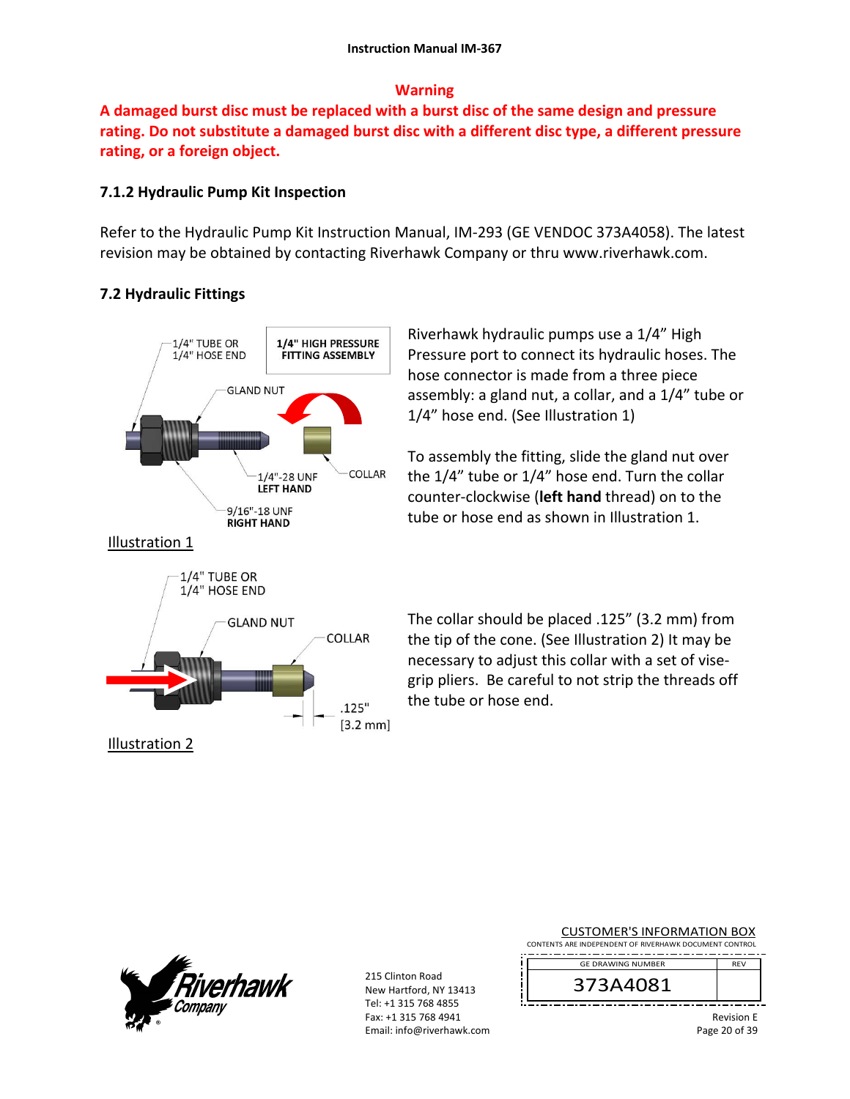### **Warning**

**A damaged burst disc must be replaced with a burst disc of the same design and pressure rating. Do not substitute a damaged burst disc with a different disc type, a different pressure rating, or a foreign object.**

### **7.1.2 Hydraulic Pump Kit Inspection**

Refer to the Hydraulic Pump Kit Instruction Manual, IM‐293 (GE VENDOC 373A4058). The latest revision may be obtained by contacting Riverhawk Company or thru www.riverhawk.com.

## **7.2 Hydraulic Fittings**



Riverhawk hydraulic pumps use a 1/4" High Pressure port to connect its hydraulic hoses. The hose connector is made from a three piece assembly: a gland nut, a collar, and a 1/4" tube or 1/4" hose end. (See Illustration 1)

To assembly the fitting, slide the gland nut over the 1/4" tube or 1/4" hose end. Turn the collar counter‐clockwise (**left hand** thread) on to the tube or hose end as shown in Illustration 1.

The collar should be placed .125" (3.2 mm) from the tip of the cone. (See Illustration 2) It may be necessary to adjust this collar with a set of vise‐ grip pliers. Be careful to not strip the threads off the tube or hose end.



215 Clinton Road New Hartford, NY 13413 Tel: +1 315 768 4855 Fax: +1 315 768 4941 Email: info@riverhawk.com

| <b>CUSTOMER'S INFORMATION BOX</b>                      |            |
|--------------------------------------------------------|------------|
| CONTENTS ARE INDEPENDENT OF RIVERHAWK DOCUMENT CONTROL |            |
| <b>GE DRAWING NUMBER</b>                               | <b>RFV</b> |
|                                                        |            |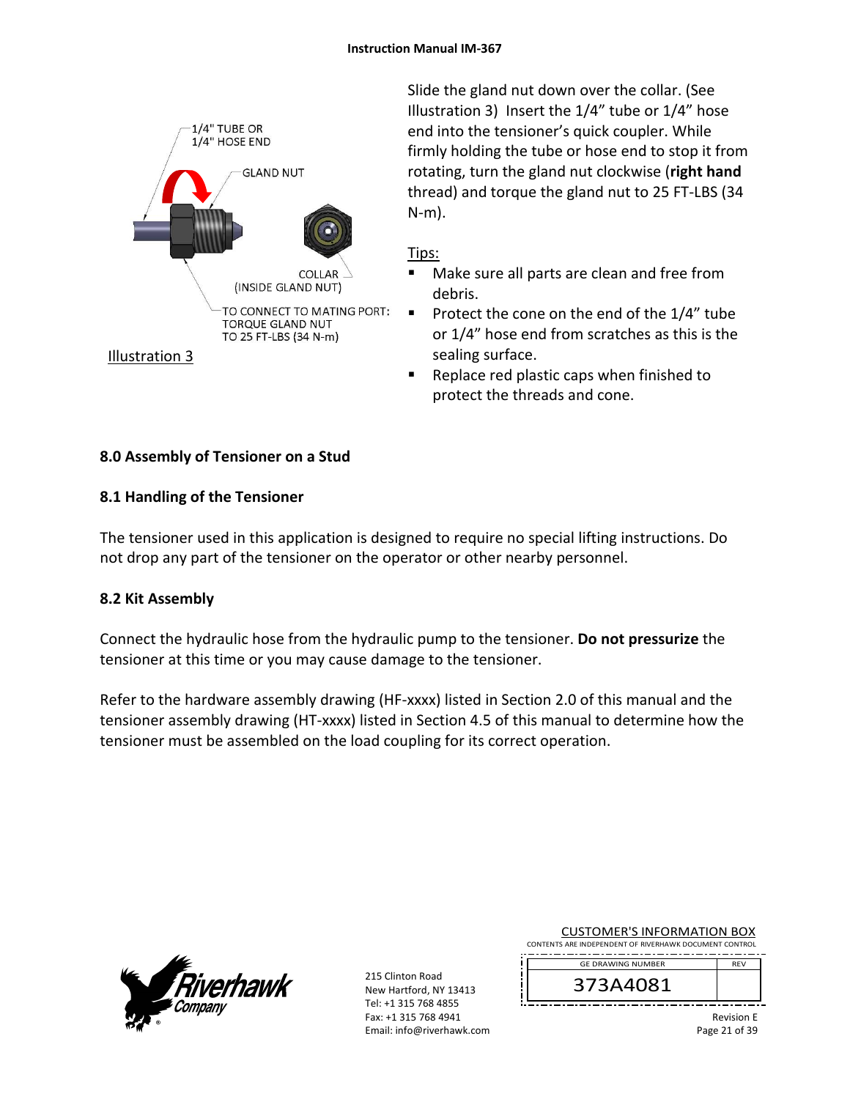

Slide the gland nut down over the collar. (See Illustration 3) Insert the 1/4" tube or 1/4" hose end into the tensioner's quick coupler. While firmly holding the tube or hose end to stop it from rotating, turn the gland nut clockwise (**right hand** thread) and torque the gland nut to 25 FT‐LBS (34 N‐m).

### Tips:

- Make sure all parts are clean and free from debris.
- Protect the cone on the end of the  $1/4$ " tube or 1/4" hose end from scratches as this is the sealing surface.
- Replace red plastic caps when finished to protect the threads and cone.

# **8.0 Assembly of Tensioner on a Stud**

## **8.1 Handling of the Tensioner**

The tensioner used in this application is designed to require no special lifting instructions. Do not drop any part of the tensioner on the operator or other nearby personnel.

## **8.2 Kit Assembly**

Connect the hydraulic hose from the hydraulic pump to the tensioner. **Do not pressurize** the tensioner at this time or you may cause damage to the tensioner.

Refer to the hardware assembly drawing (HF-xxxx) listed in Section 2.0 of this manual and the tensioner assembly drawing (HT‐xxxx) listed in Section 4.5 of this manual to determine how the tensioner must be assembled on the load coupling for its correct operation.



215 Clinton Road New Hartford, NY 13413 Tel: +1 315 768 4855 Fax: +1 315 768 4941 Email: info@riverhawk.com

| <b>CUSTOMER'S INFORMATION BOX</b>                  |  |  |
|----------------------------------------------------|--|--|
| NTC ARE INDERENDENT OF BIVERHAMIK DOCUMENT CONTROL |  |  |

CONTENTS ARE INDEPENDENT OF RIVERHAWK DOCUMENT CONTROL REV GE DRAWING NUMBER

373A4081

Revision E Page 21 of 39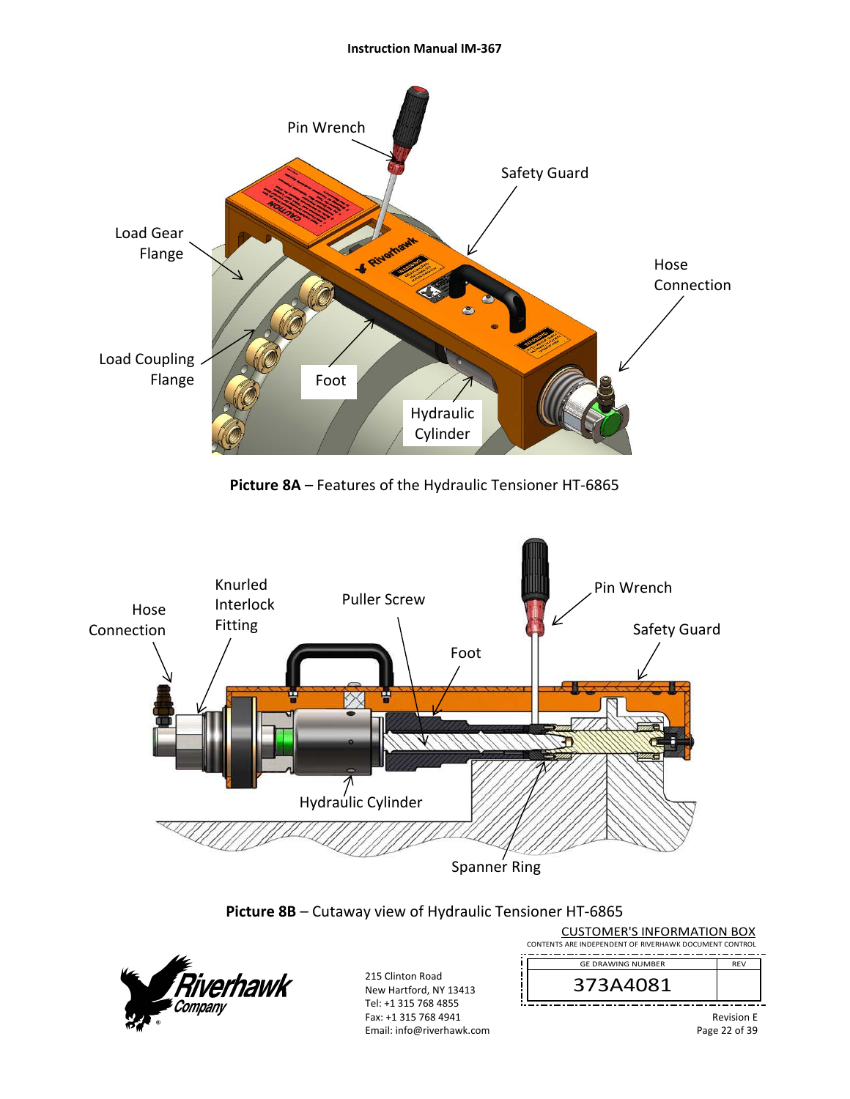#### **Instruction Manual IM‐367**



**Picture 8A** – Features of the Hydraulic Tensioner HT‐6865



**Picture 8B** – Cutaway view of Hydraulic Tensioner HT‐6865

i



215 Clinton Road New Hartford, NY 13413 Tel: +1 315 768 4855 Fax: +1 315 768 4941 Email: info@riverhawk.com

| CONTENTS ARE INDEPENDENT OF RIVERHAWK DOCUMENT CONTROL |            |
|--------------------------------------------------------|------------|
| <b>GE DRAWING NUMBER</b>                               | <b>RFV</b> |
| 373A4081                                               |            |
|                                                        | Douisian F |

CUSTOMER'S INFORMATION BOX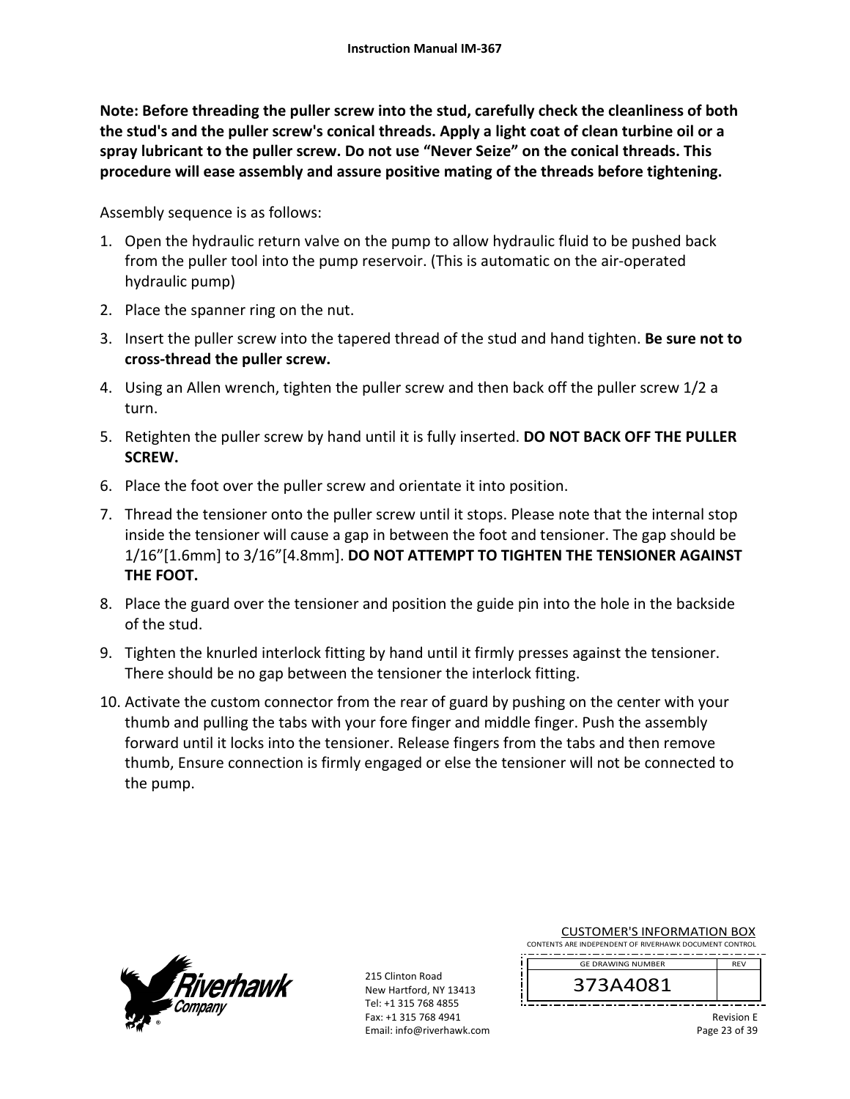**Note: Before threading the puller screw into the stud, carefully check the cleanliness of both the stud's and the puller screw's conical threads. Apply a light coat of clean turbine oil or a spray lubricant to the puller screw. Do not use "Never Seize" on the conical threads. This procedure will ease assembly and assure positive mating of the threads before tightening.** 

Assembly sequence is as follows:

- 1. Open the hydraulic return valve on the pump to allow hydraulic fluid to be pushed back from the puller tool into the pump reservoir. (This is automatic on the air‐operated hydraulic pump)
- 2. Place the spanner ring on the nut.
- 3. Insert the puller screw into the tapered thread of the stud and hand tighten. **Be sure not to cross‐thread the puller screw.**
- 4. Using an Allen wrench, tighten the puller screw and then back off the puller screw 1/2 a turn.
- 5. Retighten the puller screw by hand until it is fully inserted. **DO NOT BACK OFF THE PULLER SCREW.**
- 6. Place the foot over the puller screw and orientate it into position.
- 7. Thread the tensioner onto the puller screw until it stops. Please note that the internal stop inside the tensioner will cause a gap in between the foot and tensioner. The gap should be 1/16"[1.6mm] to 3/16"[4.8mm]. **DO NOT ATTEMPT TO TIGHTEN THE TENSIONER AGAINST THE FOOT.**
- 8. Place the guard over the tensioner and position the guide pin into the hole in the backside of the stud.
- 9. Tighten the knurled interlock fitting by hand until it firmly presses against the tensioner. There should be no gap between the tensioner the interlock fitting.
- 10. Activate the custom connector from the rear of guard by pushing on the center with your thumb and pulling the tabs with your fore finger and middle finger. Push the assembly forward until it locks into the tensioner. Release fingers from the tabs and then remove thumb, Ensure connection is firmly engaged or else the tensioner will not be connected to the pump.



215 Clinton Road New Hartford, NY 13413 Tel: +1 315 768 4855 Fax: +1 315 768 4941 Email: info@riverhawk.com

| <b>CUSTOMER'S INFORMATION BOX</b>                      |            |
|--------------------------------------------------------|------------|
| CONTENTS ARE INDEPENDENT OF RIVERHAWK DOCUMENT CONTROL |            |
| <b>GE DRAWING NUMBER</b>                               | <b>RFV</b> |
|                                                        |            |

373A4081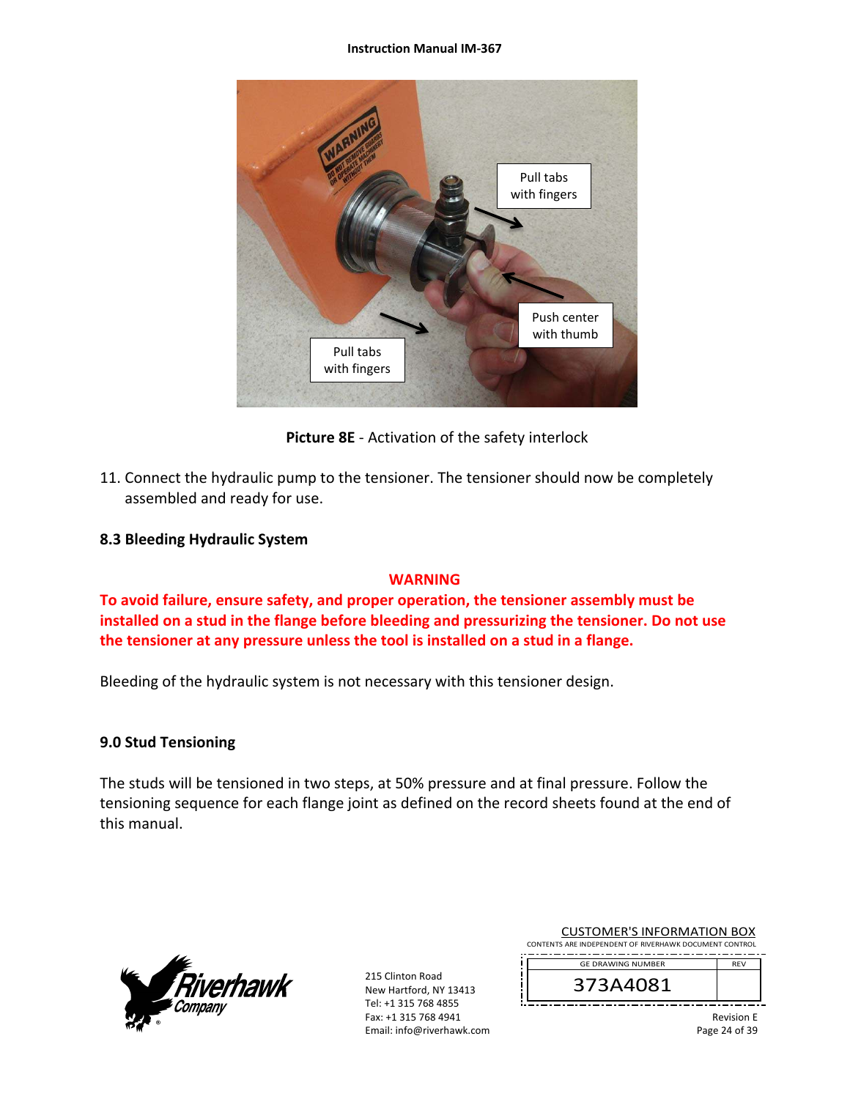#### **Instruction Manual IM‐367**



**Picture 8E** ‐ Activation of the safety interlock

11. Connect the hydraulic pump to the tensioner. The tensioner should now be completely assembled and ready for use.

### **8.3 Bleeding Hydraulic System**

### **WARNING**

**To avoid failure, ensure safety, and proper operation, the tensioner assembly must be installed on a stud in the flange before bleeding and pressurizing the tensioner. Do not use the tensioner at any pressure unless the tool is installed on a stud in a flange.** 

Bleeding of the hydraulic system is not necessary with this tensioner design.

### **9.0 Stud Tensioning**

The studs will be tensioned in two steps, at 50% pressure and at final pressure. Follow the tensioning sequence for each flange joint as defined on the record sheets found at the end of this manual.



215 Clinton Road New Hartford, NY 13413 Tel: +1 315 768 4855 Fax: +1 315 768 4941 Email: info@riverhawk.com

| <b>CUSTOMER'S INFORMATION BOX</b>                      |            |
|--------------------------------------------------------|------------|
| CONTENTS ARE INDEPENDENT OF RIVERHAWK DOCUMENT CONTROL |            |
| <b>GF DRAWING NUMBER</b>                               | <b>RFV</b> |

373A4081

Revision E Page 24 of 39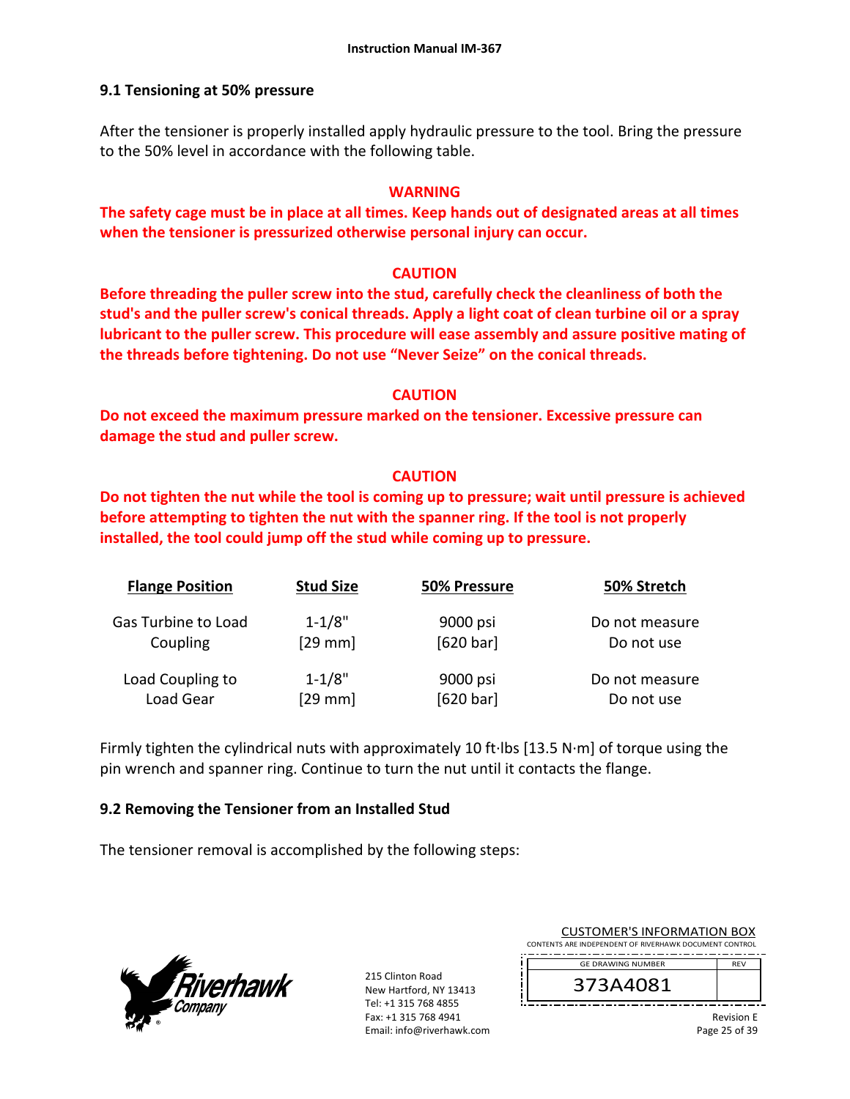### **9.1 Tensioning at 50% pressure**

After the tensioner is properly installed apply hydraulic pressure to the tool. Bring the pressure to the 50% level in accordance with the following table.

### **WARNING**

**The safety cage must be in place at all times. Keep hands out of designated areas at all times when the tensioner is pressurized otherwise personal injury can occur.** 

### **CAUTION**

**Before threading the puller screw into the stud, carefully check the cleanliness of both the stud's and the puller screw's conical threads. Apply a light coat of clean turbine oil or a spray lubricant to the puller screw. This procedure will ease assembly and assure positive mating of the threads before tightening. Do not use "Never Seize" on the conical threads.** 

#### **CAUTION**

**Do not exceed the maximum pressure marked on the tensioner. Excessive pressure can damage the stud and puller screw.** 

### **CAUTION**

**Do not tighten the nut while the tool is coming up to pressure; wait until pressure is achieved before attempting to tighten the nut with the spanner ring. If the tool is not properly installed, the tool could jump off the stud while coming up to pressure.** 

| <b>Flange Position</b> | <b>Stud Size</b> | 50% Pressure | 50% Stretch    |
|------------------------|------------------|--------------|----------------|
| Gas Turbine to Load    | $1 - 1/8"$       | 9000 psi     | Do not measure |
| Coupling               | $[29$ mm]        | [620 bar]    | Do not use     |
| Load Coupling to       | $1 - 1/8"$       | 9000 psi     | Do not measure |
| Load Gear              | $[29$ mm         | [620 bar]    | Do not use     |

Firmly tighten the cylindrical nuts with approximately 10 ft∙lbs [13.5 N∙m] of torque using the pin wrench and spanner ring. Continue to turn the nut until it contacts the flange.

### **9.2 Removing the Tensioner from an Installed Stud**

The tensioner removal is accomplished by the following steps:



215 Clinton Road New Hartford, NY 13413 Tel: +1 315 768 4855 Fax: +1 315 768 4941 Email: info@riverhawk.com

| <b>CUSTOMER'S INFORMATION BOX</b><br>CONTENTS ARE INDEPENDENT OF RIVERHAWK DOCUMENT CONTROL |            |
|---------------------------------------------------------------------------------------------|------------|
| <b>GE DRAWING NUMBER</b>                                                                    | <b>RFV</b> |
|                                                                                             |            |
| 373A4081                                                                                    |            |
|                                                                                             |            |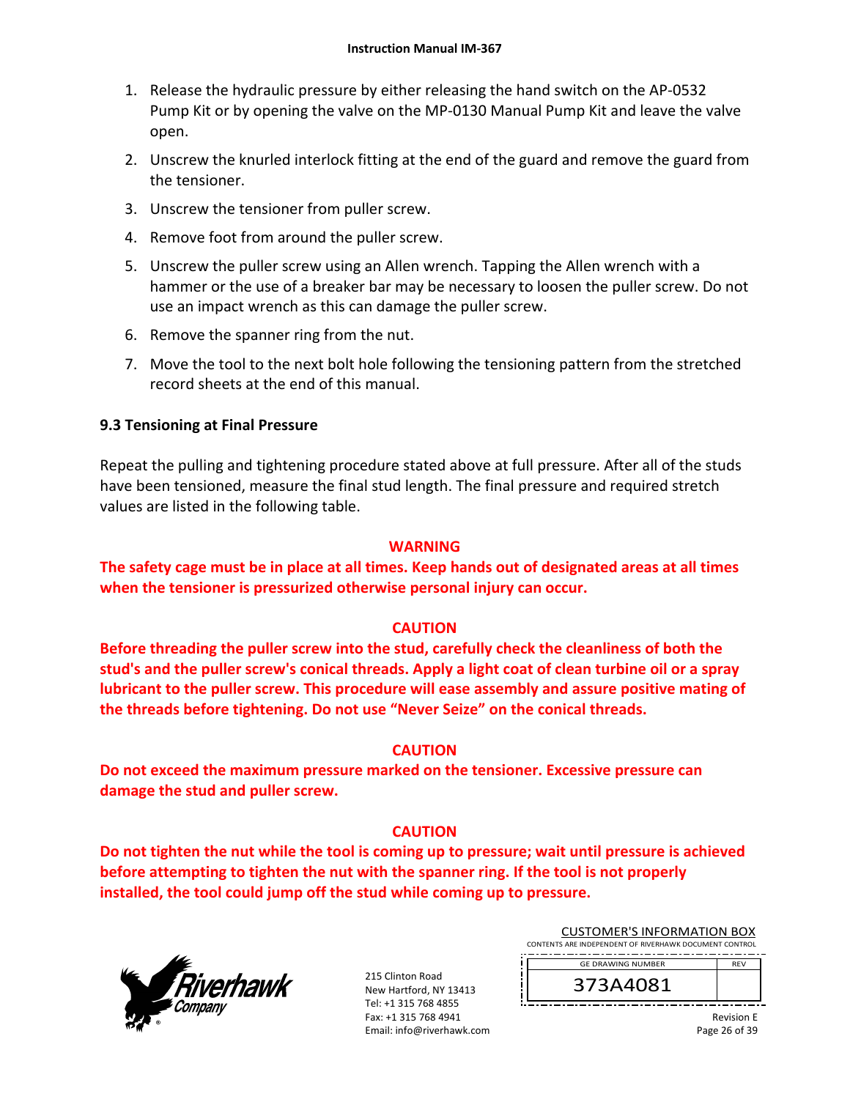- 1. Release the hydraulic pressure by either releasing the hand switch on the AP‐0532 Pump Kit or by opening the valve on the MP‐0130 Manual Pump Kit and leave the valve open.
- 2. Unscrew the knurled interlock fitting at the end of the guard and remove the guard from the tensioner.
- 3. Unscrew the tensioner from puller screw.
- 4. Remove foot from around the puller screw.
- 5. Unscrew the puller screw using an Allen wrench. Tapping the Allen wrench with a hammer or the use of a breaker bar may be necessary to loosen the puller screw. Do not use an impact wrench as this can damage the puller screw.
- 6. Remove the spanner ring from the nut.
- 7. Move the tool to the next bolt hole following the tensioning pattern from the stretched record sheets at the end of this manual.

### **9.3 Tensioning at Final Pressure**

Repeat the pulling and tightening procedure stated above at full pressure. After all of the studs have been tensioned, measure the final stud length. The final pressure and required stretch values are listed in the following table.

#### **WARNING**

**The safety cage must be in place at all times. Keep hands out of designated areas at all times when the tensioner is pressurized otherwise personal injury can occur.** 

### **CAUTION**

**Before threading the puller screw into the stud, carefully check the cleanliness of both the stud's and the puller screw's conical threads. Apply a light coat of clean turbine oil or a spray lubricant to the puller screw. This procedure will ease assembly and assure positive mating of the threads before tightening. Do not use "Never Seize" on the conical threads.** 

### **CAUTION**

**Do not exceed the maximum pressure marked on the tensioner. Excessive pressure can damage the stud and puller screw.** 

### **CAUTION**

**Do not tighten the nut while the tool is coming up to pressure; wait until pressure is achieved before attempting to tighten the nut with the spanner ring. If the tool is not properly installed, the tool could jump off the stud while coming up to pressure.**



215 Clinton Road New Hartford, NY 13413 Tel: +1 315 768 4855 Fax: +1 315 768 4941 Email: info@riverhawk.com

| <b>CUSTOMER'S INFORMATION BOX</b>                      |            |  |
|--------------------------------------------------------|------------|--|
| CONTENTS ARE INDEPENDENT OF RIVERHAWK DOCUMENT CONTROL |            |  |
|                                                        |            |  |
| <b>GE DRAWING NUMBER</b>                               | <b>RFV</b> |  |

373A4081

Revision E Page 26 of 39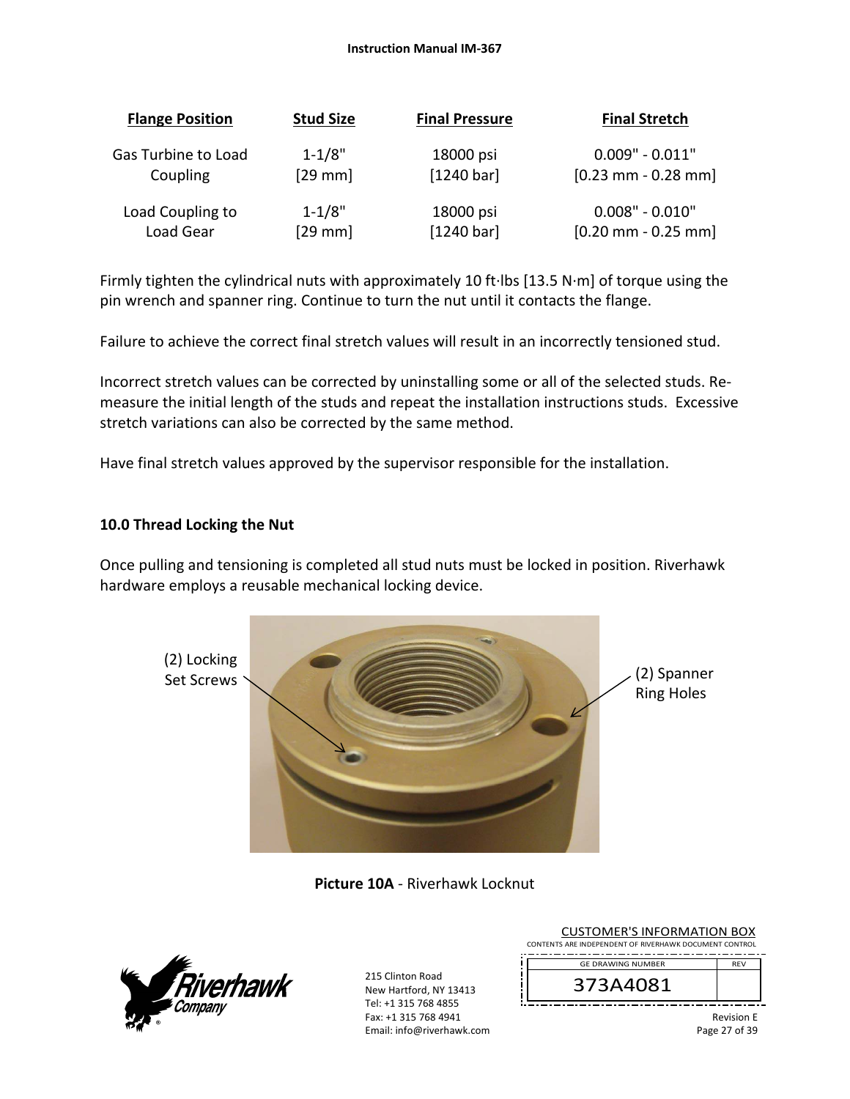#### **Instruction Manual IM‐367**

| <b>Flange Position</b> | <b>Stud Size</b> | <b>Final Pressure</b> | <b>Final Stretch</b>                      |
|------------------------|------------------|-----------------------|-------------------------------------------|
| Gas Turbine to Load    | $1 - 1/8"$       | 18000 psi             | $0.009" - 0.011"$                         |
| Coupling               | $[29$ mm]        | $[1240 \text{ bar}]$  | $[0.23 \, \text{mm} - 0.28 \, \text{mm}]$ |
| Load Coupling to       | $1 - 1/8"$       | 18000 psi             | $0.008" - 0.010"$                         |
| Load Gear              | $[29$ mm]        | [1240 bar]            | $[0.20$ mm - 0.25 mm]                     |

Firmly tighten the cylindrical nuts with approximately 10 ft∙lbs [13.5 N∙m] of torque using the pin wrench and spanner ring. Continue to turn the nut until it contacts the flange.

Failure to achieve the correct final stretch values will result in an incorrectly tensioned stud.

Incorrect stretch values can be corrected by uninstalling some or all of the selected studs. Re‐ measure the initial length of the studs and repeat the installation instructions studs. Excessive stretch variations can also be corrected by the same method.

Have final stretch values approved by the supervisor responsible for the installation.

### **10.0 Thread Locking the Nut**

Once pulling and tensioning is completed all stud nuts must be locked in position. Riverhawk hardware employs a reusable mechanical locking device.



**Picture 10A** ‐ Riverhawk Locknut



215 Clinton Road New Hartford, NY 13413 Tel: +1 315 768 4855 Fax: +1 315 768 4941 Email: info@riverhawk.com

| <b>CUSTOMER'S INFORMATION BOX</b>                      |                   |
|--------------------------------------------------------|-------------------|
| CONTENTS ARE INDEPENDENT OF RIVERHAWK DOCUMENT CONTROL |                   |
| <b>GE DRAWING NUMBER</b>                               | <b>RFV</b>        |
| 373A4081                                               |                   |
|                                                        | <b>Revision E</b> |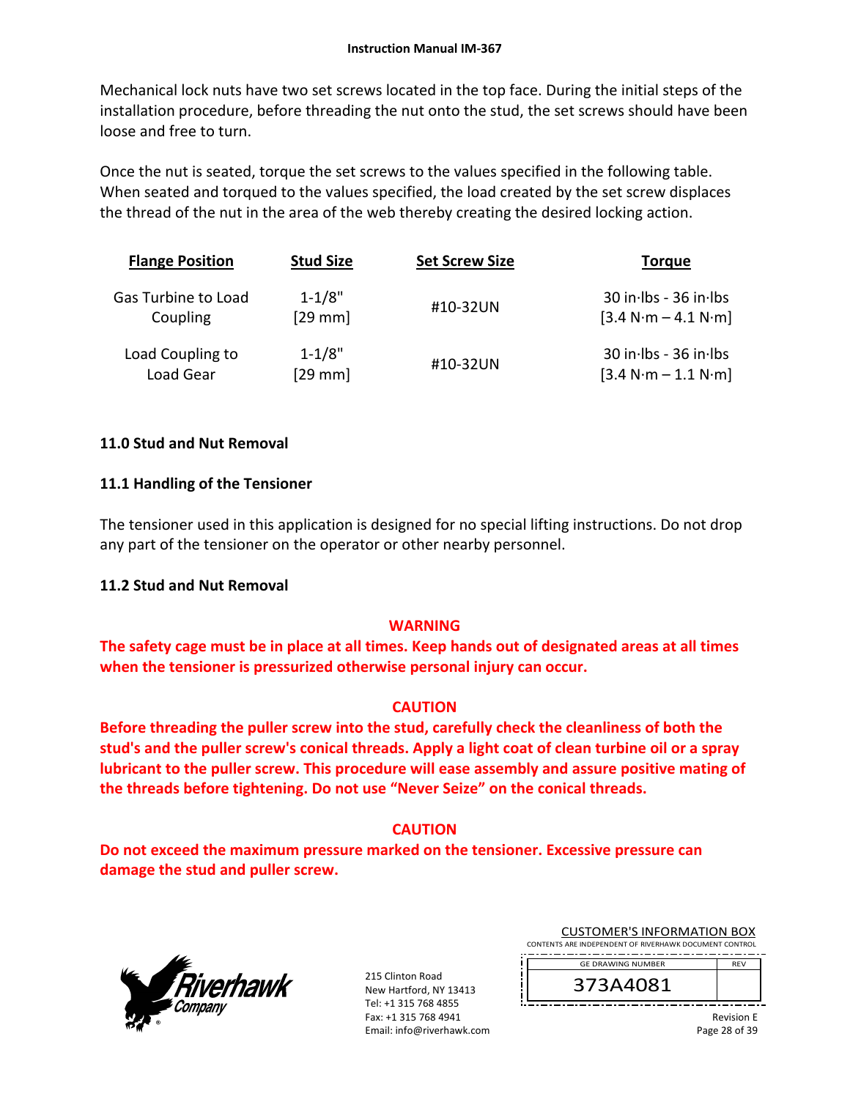Mechanical lock nuts have two set screws located in the top face. During the initial steps of the installation procedure, before threading the nut onto the stud, the set screws should have been loose and free to turn.

Once the nut is seated, torque the set screws to the values specified in the following table. When seated and torqued to the values specified, the load created by the set screw displaces the thread of the nut in the area of the web thereby creating the desired locking action.

| <b>Flange Position</b> | <b>Stud Size</b> | <b>Set Screw Size</b> | Torque                    |
|------------------------|------------------|-----------------------|---------------------------|
| Gas Turbine to Load    | $1 - 1/8"$       | #10-32UN              | $30$ in Ibs - $36$ in Ibs |
| Coupling               | $[29$ mm]        |                       | $[3.4 N·m - 4.1 N·m]$     |
| Load Coupling to       | $1 - 1/8"$       | #10-32UN              | $30$ in Ibs - $36$ in Ibs |
| Load Gear              | $[29$ mm $]$     |                       | $[3.4 N·m - 1.1 N·m]$     |

### **11.0 Stud and Nut Removal**

### **11.1 Handling of the Tensioner**

The tensioner used in this application is designed for no special lifting instructions. Do not drop any part of the tensioner on the operator or other nearby personnel.

### **11.2 Stud and Nut Removal**

### **WARNING**

**The safety cage must be in place at all times. Keep hands out of designated areas at all times when the tensioner is pressurized otherwise personal injury can occur.** 

### **CAUTION**

**Before threading the puller screw into the stud, carefully check the cleanliness of both the stud's and the puller screw's conical threads. Apply a light coat of clean turbine oil or a spray lubricant to the puller screw. This procedure will ease assembly and assure positive mating of the threads before tightening. Do not use "Never Seize" on the conical threads.** 

### **CAUTION**

**Do not exceed the maximum pressure marked on the tensioner. Excessive pressure can damage the stud and puller screw.** 



215 Clinton Road New Hartford, NY 13413 Tel: +1 315 768 4855 Fax: +1 315 768 4941 Email: info@riverhawk.com

| <b>CUSTOMER'S INFORMATION BOX</b>                      |            |
|--------------------------------------------------------|------------|
| CONTENTS ARE INDEPENDENT OF RIVERHAWK DOCUMENT CONTROL |            |
| <b>GE DRAWING NUMBER</b>                               | <b>RFV</b> |



Revision E Page 28 of 39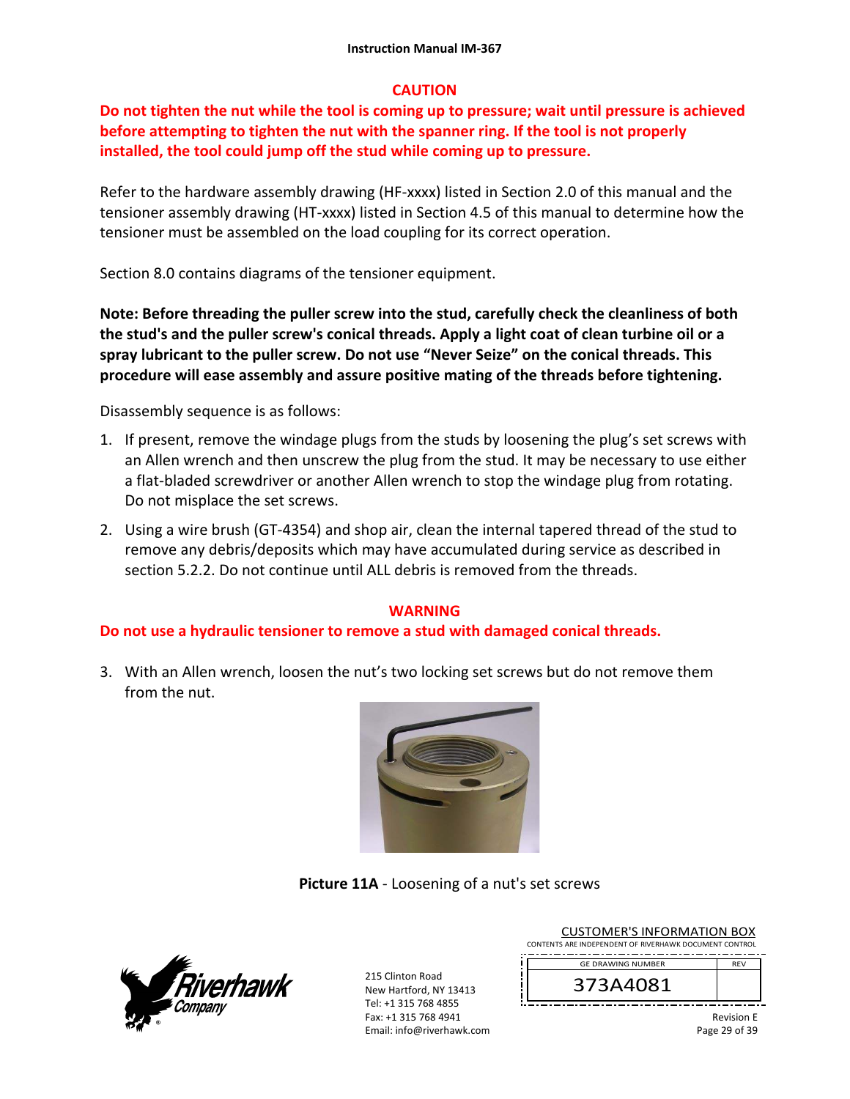### **CAUTION**

**Do not tighten the nut while the tool is coming up to pressure; wait until pressure is achieved before attempting to tighten the nut with the spanner ring. If the tool is not properly installed, the tool could jump off the stud while coming up to pressure.** 

Refer to the hardware assembly drawing (HF-xxxx) listed in Section 2.0 of this manual and the tensioner assembly drawing (HT‐xxxx) listed in Section 4.5 of this manual to determine how the tensioner must be assembled on the load coupling for its correct operation.

Section 8.0 contains diagrams of the tensioner equipment.

**Note: Before threading the puller screw into the stud, carefully check the cleanliness of both the stud's and the puller screw's conical threads. Apply a light coat of clean turbine oil or a spray lubricant to the puller screw. Do not use "Never Seize" on the conical threads. This procedure will ease assembly and assure positive mating of the threads before tightening.** 

Disassembly sequence is as follows:

- 1. If present, remove the windage plugs from the studs by loosening the plug's set screws with an Allen wrench and then unscrew the plug from the stud. It may be necessary to use either a flat-bladed screwdriver or another Allen wrench to stop the windage plug from rotating. Do not misplace the set screws.
- 2. Using a wire brush (GT‐4354) and shop air, clean the internal tapered thread of the stud to remove any debris/deposits which may have accumulated during service as described in section 5.2.2. Do not continue until ALL debris is removed from the threads.

## **WARNING**

### **Do not use a hydraulic tensioner to remove a stud with damaged conical threads.**

3. With an Allen wrench, loosen the nut's two locking set screws but do not remove them from the nut.



**Picture 11A** ‐ Loosening of a nut's set screws



215 Clinton Road New Hartford, NY 13413 Tel: +1 315 768 4855 Fax: +1 315 768 4941 Email: info@riverhawk.com

| COSTOIVIER 3 INFORMATION BOA                           |            |
|--------------------------------------------------------|------------|
| CONTENTS ARE INDEPENDENT OF RIVERHAWK DOCUMENT CONTROL |            |
| <b>GE DRAWING NUMBER</b>                               | <b>RFV</b> |
|                                                        |            |
| 373A4081                                               |            |
|                                                        |            |

CUSTOMER'S INFORMATION BOY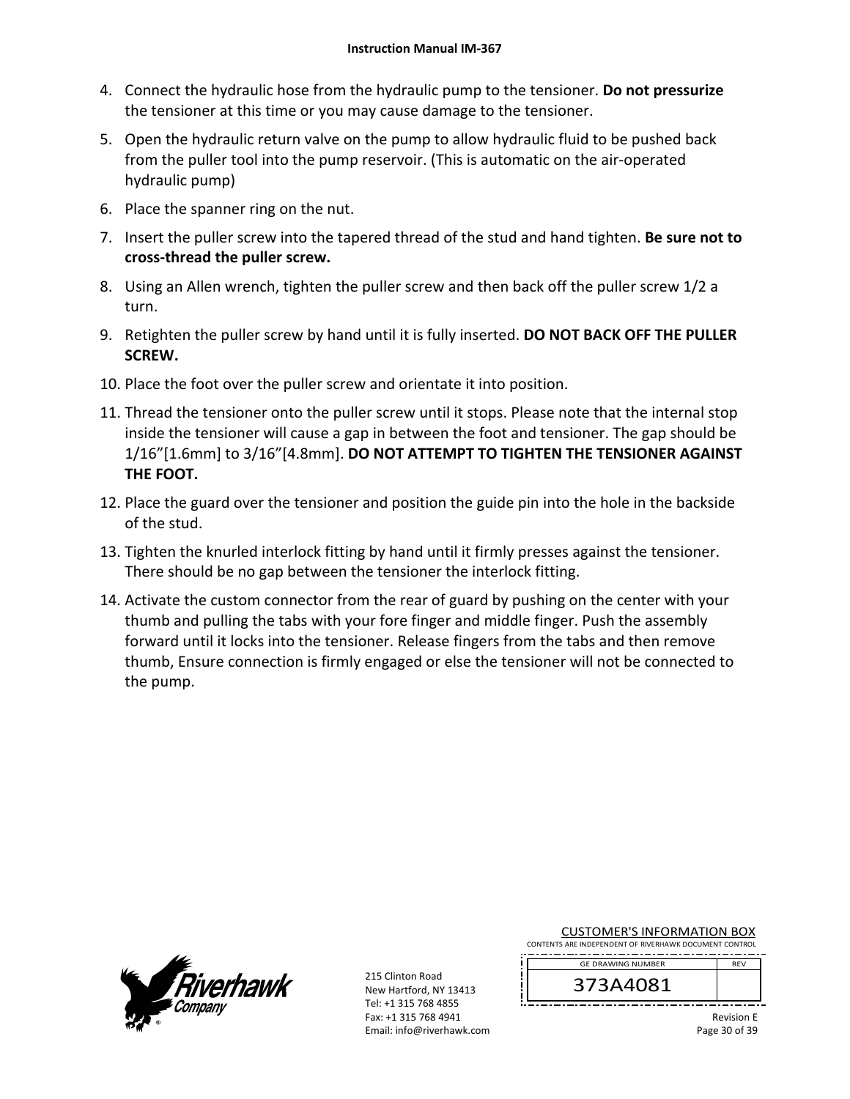- 4. Connect the hydraulic hose from the hydraulic pump to the tensioner. **Do not pressurize** the tensioner at this time or you may cause damage to the tensioner.
- 5. Open the hydraulic return valve on the pump to allow hydraulic fluid to be pushed back from the puller tool into the pump reservoir. (This is automatic on the air‐operated hydraulic pump)
- 6. Place the spanner ring on the nut.
- 7. Insert the puller screw into the tapered thread of the stud and hand tighten. **Be sure not to cross‐thread the puller screw.**
- 8. Using an Allen wrench, tighten the puller screw and then back off the puller screw 1/2 a turn.
- 9. Retighten the puller screw by hand until it is fully inserted. **DO NOT BACK OFF THE PULLER SCREW.**
- 10. Place the foot over the puller screw and orientate it into position.
- 11. Thread the tensioner onto the puller screw until it stops. Please note that the internal stop inside the tensioner will cause a gap in between the foot and tensioner. The gap should be 1/16"[1.6mm] to 3/16"[4.8mm]. **DO NOT ATTEMPT TO TIGHTEN THE TENSIONER AGAINST THE FOOT.**
- 12. Place the guard over the tensioner and position the guide pin into the hole in the backside of the stud.
- 13. Tighten the knurled interlock fitting by hand until it firmly presses against the tensioner. There should be no gap between the tensioner the interlock fitting.
- 14. Activate the custom connector from the rear of guard by pushing on the center with your thumb and pulling the tabs with your fore finger and middle finger. Push the assembly forward until it locks into the tensioner. Release fingers from the tabs and then remove thumb, Ensure connection is firmly engaged or else the tensioner will not be connected to the pump.



215 Clinton Road New Hartford, NY 13413 Tel: +1 315 768 4855 Fax: +1 315 768 4941 Email: info@riverhawk.com

| <b>CUSTOMER'S INFORMATION BOX</b> |
|-----------------------------------|
|-----------------------------------|

CONTENTS ARE INDEPENDENT OF RIVERHAWK DOCUMENT CONTROL REV GE DRAWING NUMBER

373A4081

Revision E Page 30 of 39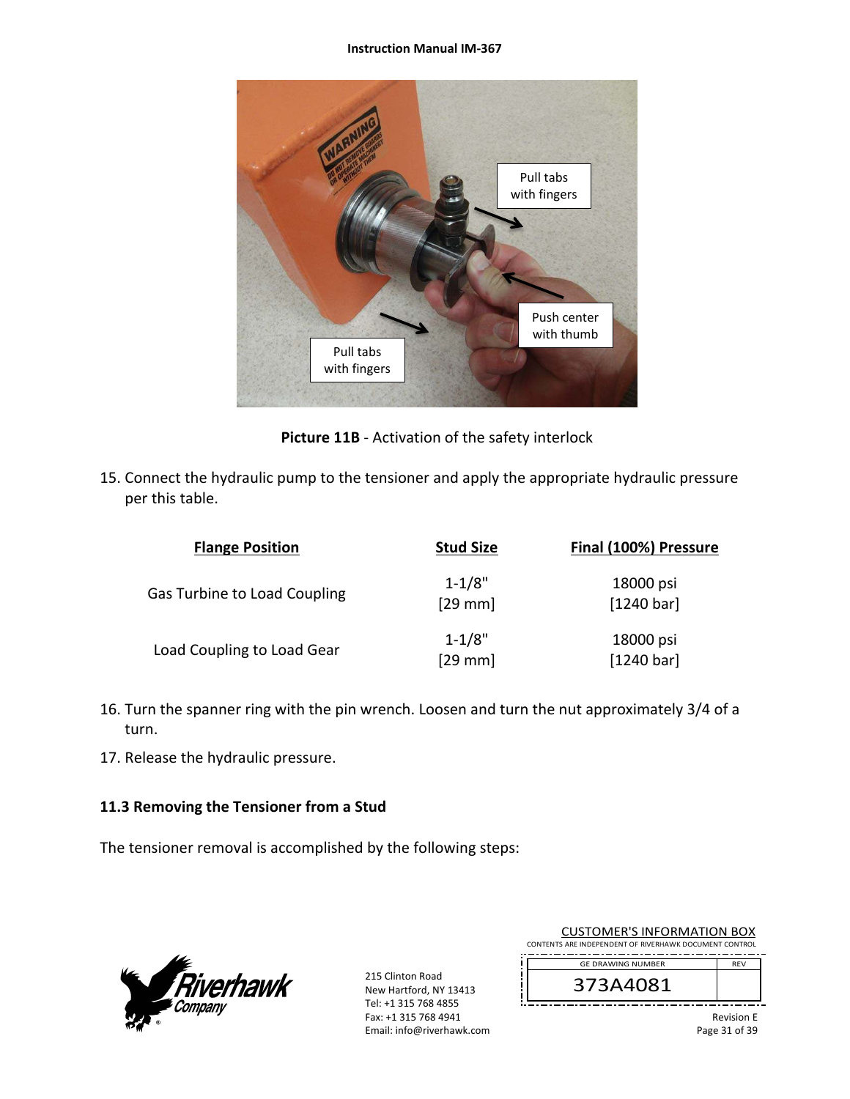#### **Instruction Manual IM‐367**



**Picture 11B** ‐ Activation of the safety interlock

15. Connect the hydraulic pump to the tensioner and apply the appropriate hydraulic pressure per this table.

| <b>Flange Position</b>              | <b>Stud Size</b>        | Final (100%) Pressure   |
|-------------------------------------|-------------------------|-------------------------|
| <b>Gas Turbine to Load Coupling</b> | $1 - 1/8"$<br>$[29$ mm  | 18000 psi<br>[1240 bar] |
| Load Coupling to Load Gear          | $1 - 1/8"$<br>$[29$ mm] | 18000 psi<br>[1240 bar] |

- 16. Turn the spanner ring with the pin wrench. Loosen and turn the nut approximately 3/4 of a turn.
- 17. Release the hydraulic pressure.

## **11.3 Removing the Tensioner from a Stud**

The tensioner removal is accomplished by the following steps:



215 Clinton Road New Hartford, NY 13413 Tel: +1 315 768 4855 Fax: +1 315 768 4941 Email: info@riverhawk.com

| CUSTUMER S INFORMATION BUX                             |            |
|--------------------------------------------------------|------------|
| CONTENTS ARE INDEPENDENT OF RIVERHAWK DOCUMENT CONTROL |            |
|                                                        |            |
| <b>GE DRAWING NUMBER</b>                               | <b>RFV</b> |
|                                                        |            |
| 373A4081                                               |            |
|                                                        |            |
|                                                        |            |

CUCTOMER'S INFORMATION BOY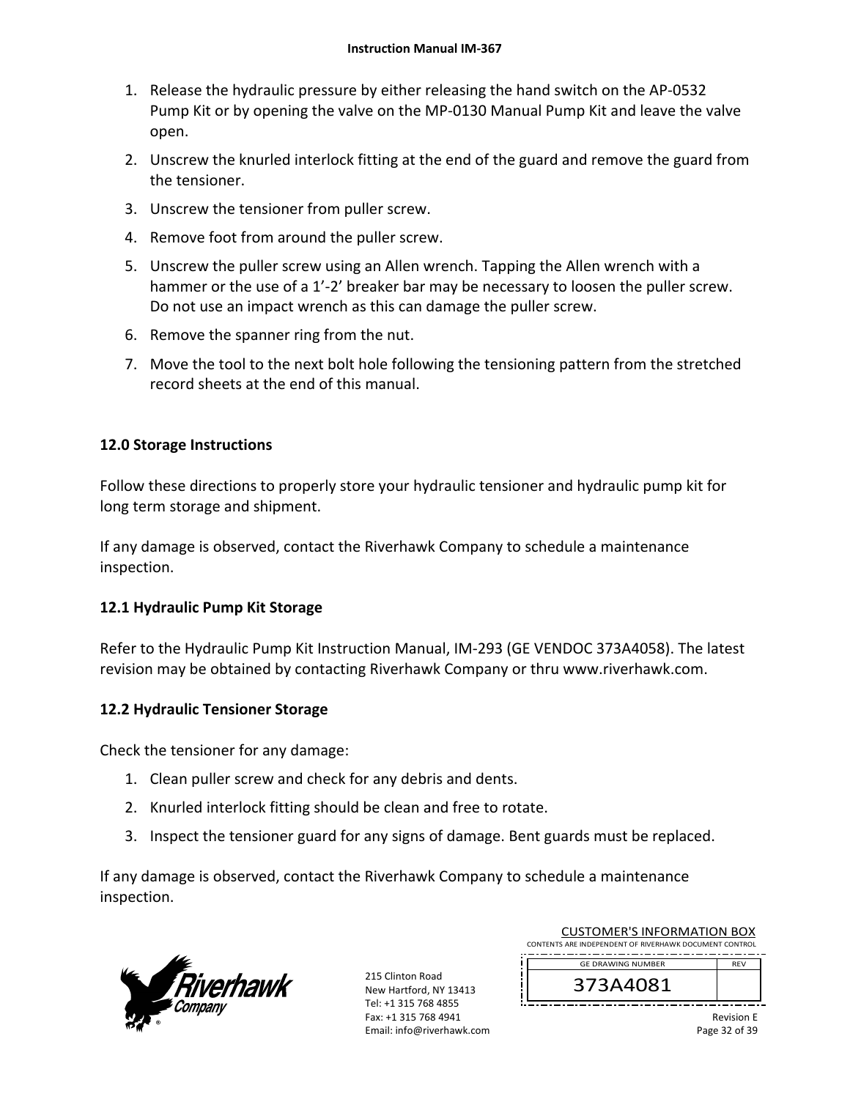- 1. Release the hydraulic pressure by either releasing the hand switch on the AP‐0532 Pump Kit or by opening the valve on the MP‐0130 Manual Pump Kit and leave the valve open.
- 2. Unscrew the knurled interlock fitting at the end of the guard and remove the guard from the tensioner.
- 3. Unscrew the tensioner from puller screw.
- 4. Remove foot from around the puller screw.
- 5. Unscrew the puller screw using an Allen wrench. Tapping the Allen wrench with a hammer or the use of a 1'-2' breaker bar may be necessary to loosen the puller screw. Do not use an impact wrench as this can damage the puller screw.
- 6. Remove the spanner ring from the nut.
- 7. Move the tool to the next bolt hole following the tensioning pattern from the stretched record sheets at the end of this manual.

### **12.0 Storage Instructions**

Follow these directions to properly store your hydraulic tensioner and hydraulic pump kit for long term storage and shipment.

If any damage is observed, contact the Riverhawk Company to schedule a maintenance inspection.

### **12.1 Hydraulic Pump Kit Storage**

Refer to the Hydraulic Pump Kit Instruction Manual, IM‐293 (GE VENDOC 373A4058). The latest revision may be obtained by contacting Riverhawk Company or thru www.riverhawk.com.

### **12.2 Hydraulic Tensioner Storage**

Check the tensioner for any damage:

- 1. Clean puller screw and check for any debris and dents.
- 2. Knurled interlock fitting should be clean and free to rotate.
- 3. Inspect the tensioner guard for any signs of damage. Bent guards must be replaced.

If any damage is observed, contact the Riverhawk Company to schedule a maintenance inspection.



215 Clinton Road New Hartford, NY 13413 Tel: +1 315 768 4855 Fax: +1 315 768 4941 Email: info@riverhawk.com

| CUSTUIVIEN 3 INFUNIVIATIUIN BUA                        |            |
|--------------------------------------------------------|------------|
| CONTENTS ARE INDEPENDENT OF RIVERHAWK DOCUMENT CONTROL |            |
| <b>GE DRAWING NUMBER</b>                               | <b>RFV</b> |
| 373A4081                                               |            |
|                                                        |            |

CUCTOMER'S INFORMATION BOY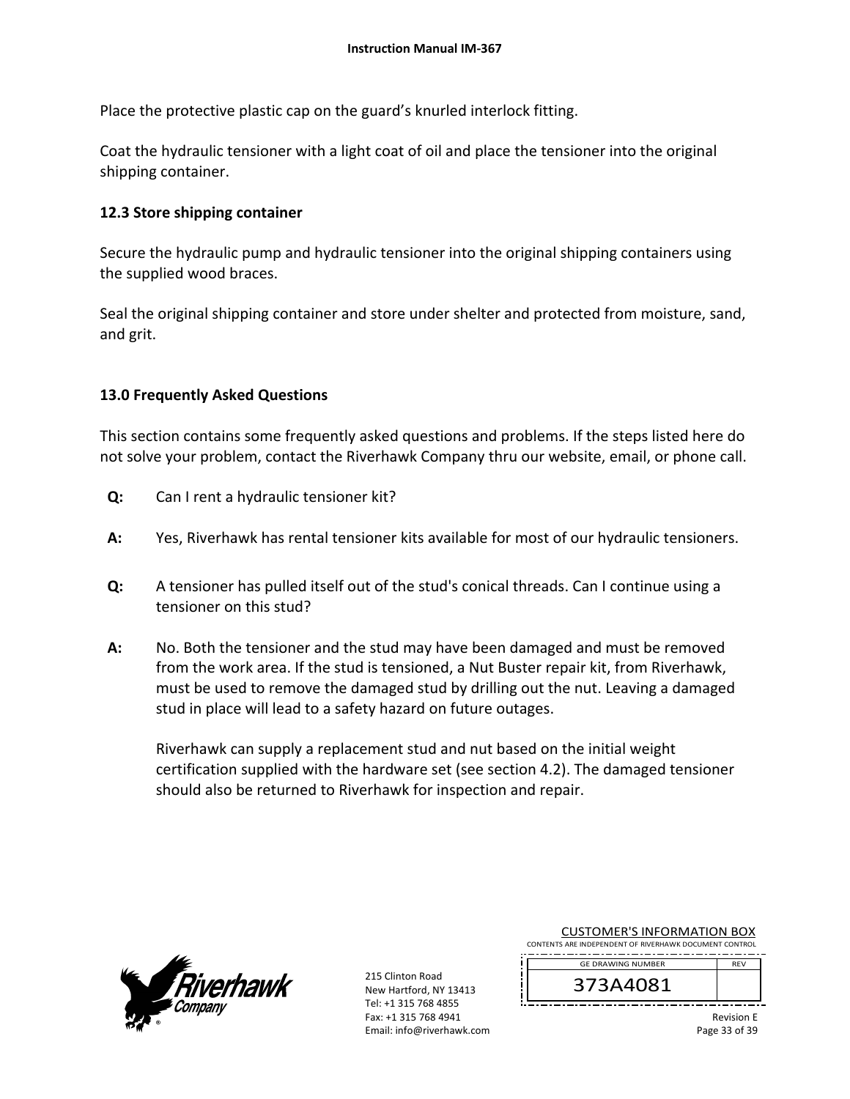Place the protective plastic cap on the guard's knurled interlock fitting.

Coat the hydraulic tensioner with a light coat of oil and place the tensioner into the original shipping container.

### **12.3 Store shipping container**

Secure the hydraulic pump and hydraulic tensioner into the original shipping containers using the supplied wood braces.

Seal the original shipping container and store under shelter and protected from moisture, sand, and grit.

### **13.0 Frequently Asked Questions**

This section contains some frequently asked questions and problems. If the steps listed here do not solve your problem, contact the Riverhawk Company thru our website, email, or phone call.

- **Q:**  Can I rent a hydraulic tensioner kit?
- **A:**  Yes, Riverhawk has rental tensioner kits available for most of our hydraulic tensioners.
- **Q:**  A tensioner has pulled itself out of the stud's conical threads. Can I continue using a tensioner on this stud?
- **A:**  No. Both the tensioner and the stud may have been damaged and must be removed from the work area. If the stud is tensioned, a Nut Buster repair kit, from Riverhawk, must be used to remove the damaged stud by drilling out the nut. Leaving a damaged stud in place will lead to a safety hazard on future outages.

Riverhawk can supply a replacement stud and nut based on the initial weight certification supplied with the hardware set (see section 4.2). The damaged tensioner should also be returned to Riverhawk for inspection and repair.



215 Clinton Road New Hartford, NY 13413 Tel: +1 315 768 4855 Fax: +1 315 768 4941 Email: info@riverhawk.com

| <b>CUSTOMER'S INFORMATION BOX</b>                      |            |
|--------------------------------------------------------|------------|
| CONTENTS ARE INDEPENDENT OF RIVERHAWK DOCUMENT CONTROL |            |
| <b>GE DRAWING NUMBER</b>                               | <b>RFV</b> |
| 27281091                                               |            |

373A4081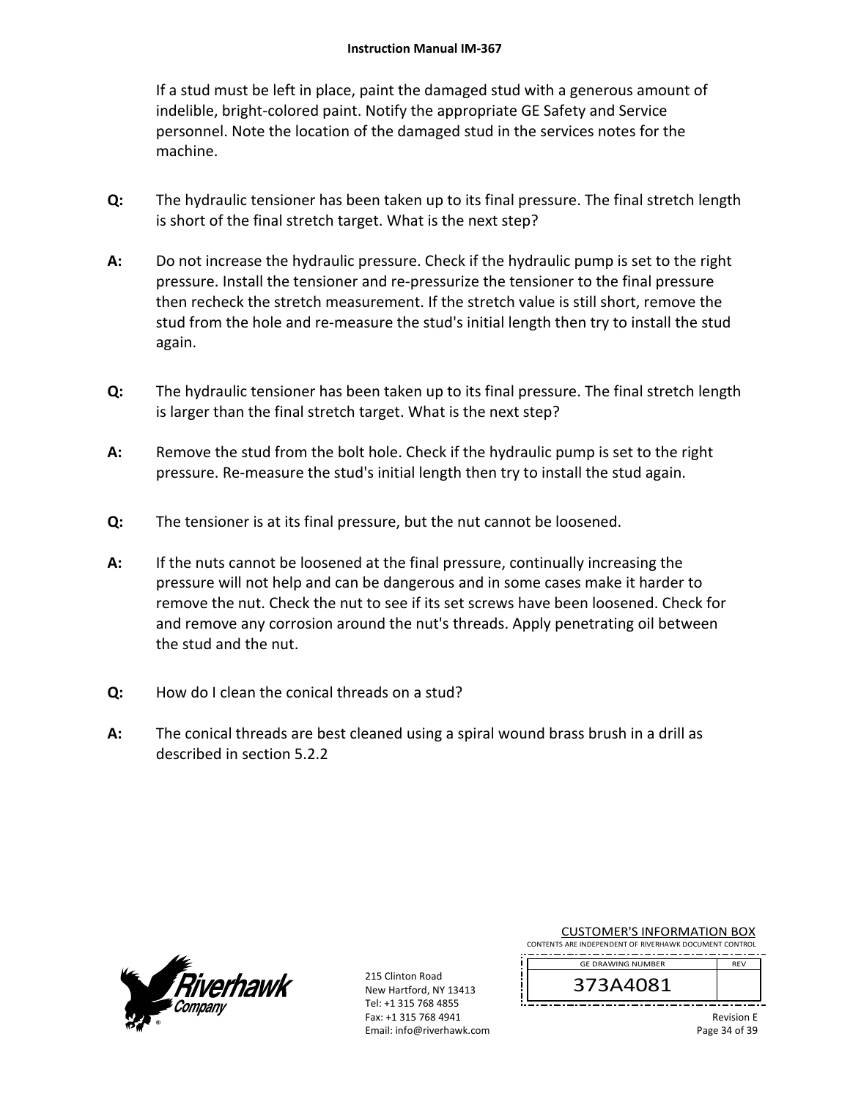If a stud must be left in place, paint the damaged stud with a generous amount of indelible, bright‐colored paint. Notify the appropriate GE Safety and Service personnel. Note the location of the damaged stud in the services notes for the machine.

- **Q:**  The hydraulic tensioner has been taken up to its final pressure. The final stretch length is short of the final stretch target. What is the next step?
- **A:**  Do not increase the hydraulic pressure. Check if the hydraulic pump is set to the right pressure. Install the tensioner and re‐pressurize the tensioner to the final pressure then recheck the stretch measurement. If the stretch value is still short, remove the stud from the hole and re-measure the stud's initial length then try to install the stud again.
- **Q:**  The hydraulic tensioner has been taken up to its final pressure. The final stretch length is larger than the final stretch target. What is the next step?
- **A:**  Remove the stud from the bolt hole. Check if the hydraulic pump is set to the right pressure. Re-measure the stud's initial length then try to install the stud again.
- **Q:**  The tensioner is at its final pressure, but the nut cannot be loosened.
- **A:**  If the nuts cannot be loosened at the final pressure, continually increasing the pressure will not help and can be dangerous and in some cases make it harder to remove the nut. Check the nut to see if its set screws have been loosened. Check for and remove any corrosion around the nut's threads. Apply penetrating oil between the stud and the nut.
- **Q:**  How do I clean the conical threads on a stud?
- **A:**  The conical threads are best cleaned using a spiral wound brass brush in a drill as described in section 5.2.2



215 Clinton Road New Hartford, NY 13413 Tel: +1 315 768 4855 Fax: +1 315 768 4941 Email: info@riverhawk.com

| <b>CUSTOMER'S INFORMATION BOX</b>                      |  |  |
|--------------------------------------------------------|--|--|
| CONTENTS ARE INDEPENDENT OF RIVERHAWK DOCUMENT CONTROL |  |  |

REV GE DRAWING NUMBER

373A4081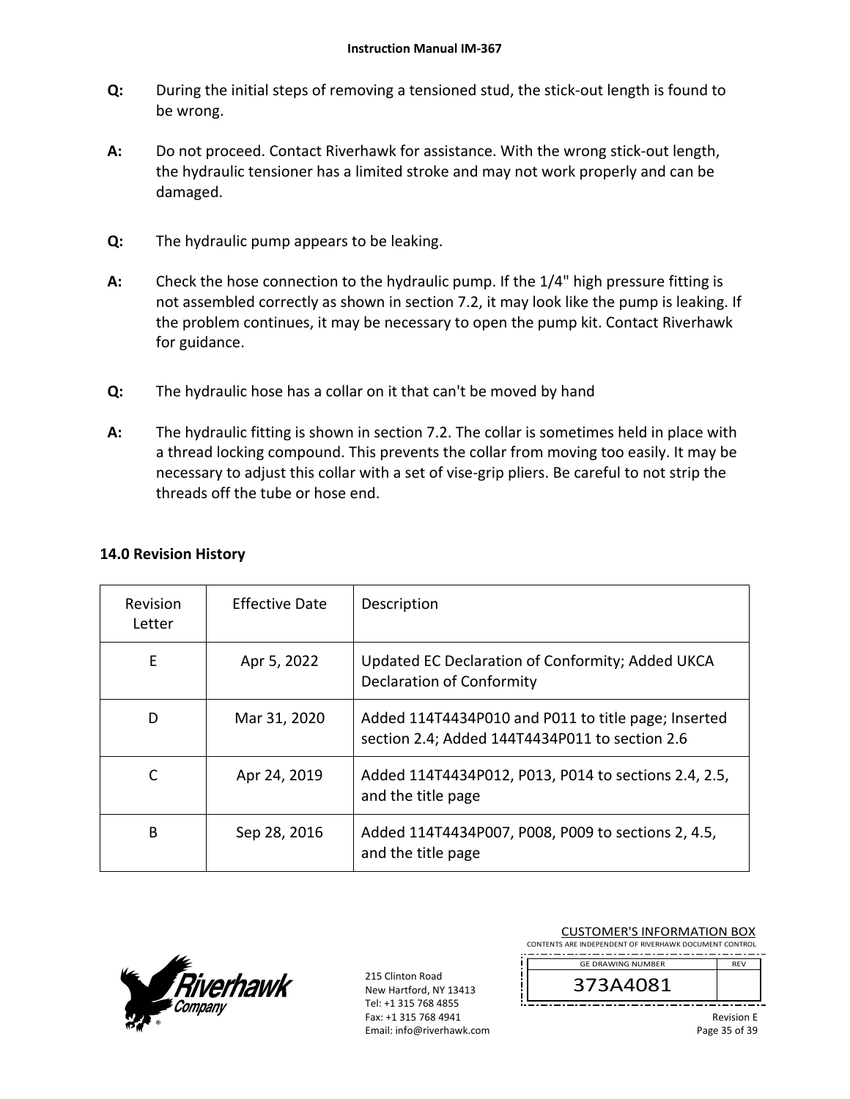- **Q:**  During the initial steps of removing a tensioned stud, the stick‐out length is found to be wrong.
- **A:**  Do not proceed. Contact Riverhawk for assistance. With the wrong stick-out length, the hydraulic tensioner has a limited stroke and may not work properly and can be damaged.
- **Q:**  The hydraulic pump appears to be leaking.
- **A:**  Check the hose connection to the hydraulic pump. If the 1/4" high pressure fitting is not assembled correctly as shown in section 7.2, it may look like the pump is leaking. If the problem continues, it may be necessary to open the pump kit. Contact Riverhawk for guidance.
- **Q:**  The hydraulic hose has a collar on it that can't be moved by hand
- **A:**  The hydraulic fitting is shown in section 7.2. The collar is sometimes held in place with a thread locking compound. This prevents the collar from moving too easily. It may be necessary to adjust this collar with a set of vise‐grip pliers. Be careful to not strip the threads off the tube or hose end.

| Revision<br>Letter | <b>Effective Date</b> | Description                                                                                           |
|--------------------|-----------------------|-------------------------------------------------------------------------------------------------------|
| E                  | Apr 5, 2022           | Updated EC Declaration of Conformity; Added UKCA<br><b>Declaration of Conformity</b>                  |
| D                  | Mar 31, 2020          | Added 114T4434P010 and P011 to title page; Inserted<br>section 2.4; Added 144T4434P011 to section 2.6 |
| C                  | Apr 24, 2019          | Added 114T4434P012, P013, P014 to sections 2.4, 2.5,<br>and the title page                            |
| B                  | Sep 28, 2016          | Added 114T4434P007, P008, P009 to sections 2, 4.5,<br>and the title page                              |

## **14.0 Revision History**



215 Clinton Road New Hartford, NY 13413 Tel: +1 315 768 4855 Fax: +1 315 768 4941 Email: info@riverhawk.com

| <b>CUSTOMER'S INFORMATION BOX</b>                      |            |  |  |
|--------------------------------------------------------|------------|--|--|
| CONTENTS ARE INDEPENDENT OF RIVERHAWK DOCUMENT CONTROL |            |  |  |
| <b>GE DRAWING NUMBER</b>                               | <b>RFV</b> |  |  |
| 373A4081                                               |            |  |  |
| <b>Revision E</b><br>Dage 35 of 30                     |            |  |  |

Page 35 of 39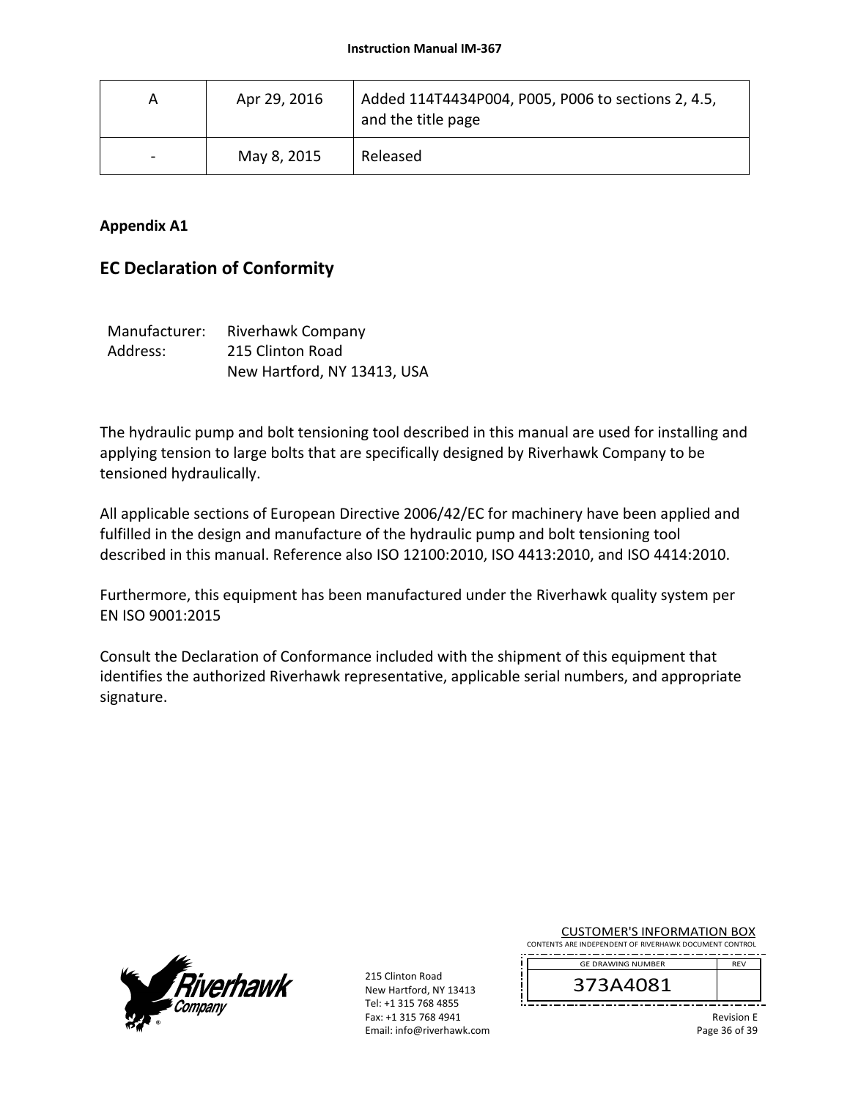| A                        | Apr 29, 2016 | Added 114T4434P004, P005, P006 to sections 2, 4.5,<br>and the title page |
|--------------------------|--------------|--------------------------------------------------------------------------|
| $\overline{\phantom{0}}$ | May 8, 2015  | Released                                                                 |

### **Appendix A1**

# **EC Declaration of Conformity**

| Manufacturer: | Riverhawk Company           |
|---------------|-----------------------------|
| Address:      | 215 Clinton Road            |
|               | New Hartford, NY 13413, USA |

The hydraulic pump and bolt tensioning tool described in this manual are used for installing and applying tension to large bolts that are specifically designed by Riverhawk Company to be tensioned hydraulically.

All applicable sections of European Directive 2006/42/EC for machinery have been applied and fulfilled in the design and manufacture of the hydraulic pump and bolt tensioning tool described in this manual. Reference also ISO 12100:2010, ISO 4413:2010, and ISO 4414:2010.

Furthermore, this equipment has been manufactured under the Riverhawk quality system per EN ISO 9001:2015

Consult the Declaration of Conformance included with the shipment of this equipment that identifies the authorized Riverhawk representative, applicable serial numbers, and appropriate signature.



215 Clinton Road New Hartford, NY 13413 Tel: +1 315 768 4855 Fax: +1 315 768 4941 Email: info@riverhawk.com CUSTOMER'S INFORMATION BOX

CONTENTS ARE INDEPENDENT OF RIVERHAWK DOCUMENT CONTROL GE DRAWING NUMBER REV

373A4081

Revision E Page 36 of 39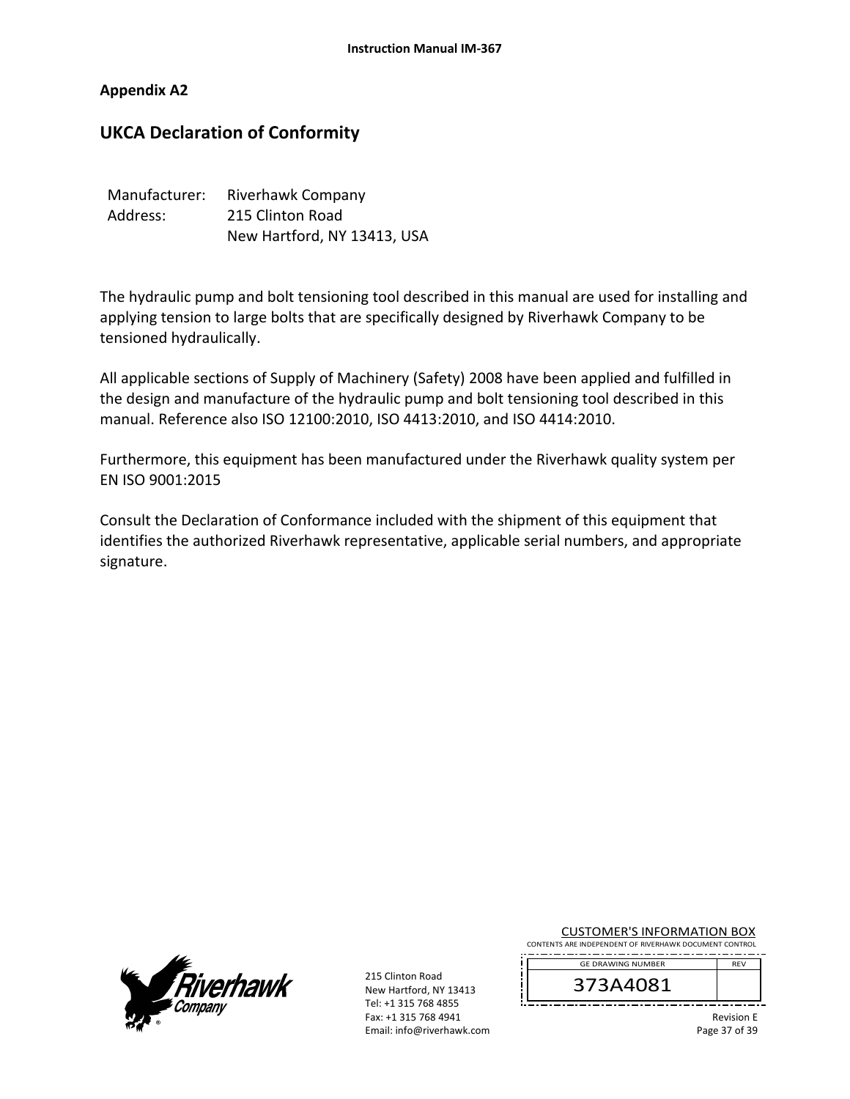### **Appendix A2**

# **UKCA Declaration of Conformity**

| Manufacturer: | Riverhawk Company           |
|---------------|-----------------------------|
| Address:      | 215 Clinton Road            |
|               | New Hartford, NY 13413, USA |

The hydraulic pump and bolt tensioning tool described in this manual are used for installing and applying tension to large bolts that are specifically designed by Riverhawk Company to be tensioned hydraulically.

All applicable sections of Supply of Machinery (Safety) 2008 have been applied and fulfilled in the design and manufacture of the hydraulic pump and bolt tensioning tool described in this manual. Reference also ISO 12100:2010, ISO 4413:2010, and ISO 4414:2010.

Furthermore, this equipment has been manufactured under the Riverhawk quality system per EN ISO 9001:2015

Consult the Declaration of Conformance included with the shipment of this equipment that identifies the authorized Riverhawk representative, applicable serial numbers, and appropriate signature.



215 Clinton Road New Hartford, NY 13413 Tel: +1 315 768 4855 Fax: +1 315 768 4941 Email: info@riverhawk.com CUSTOMER'S INFORMATION BOX

CONTENTS ARE INDEPENDENT OF RIVERHAWK DOCUMENT CONTROL GE DRAWING NUMBER REV

373A4081

Revision E Page 37 of 39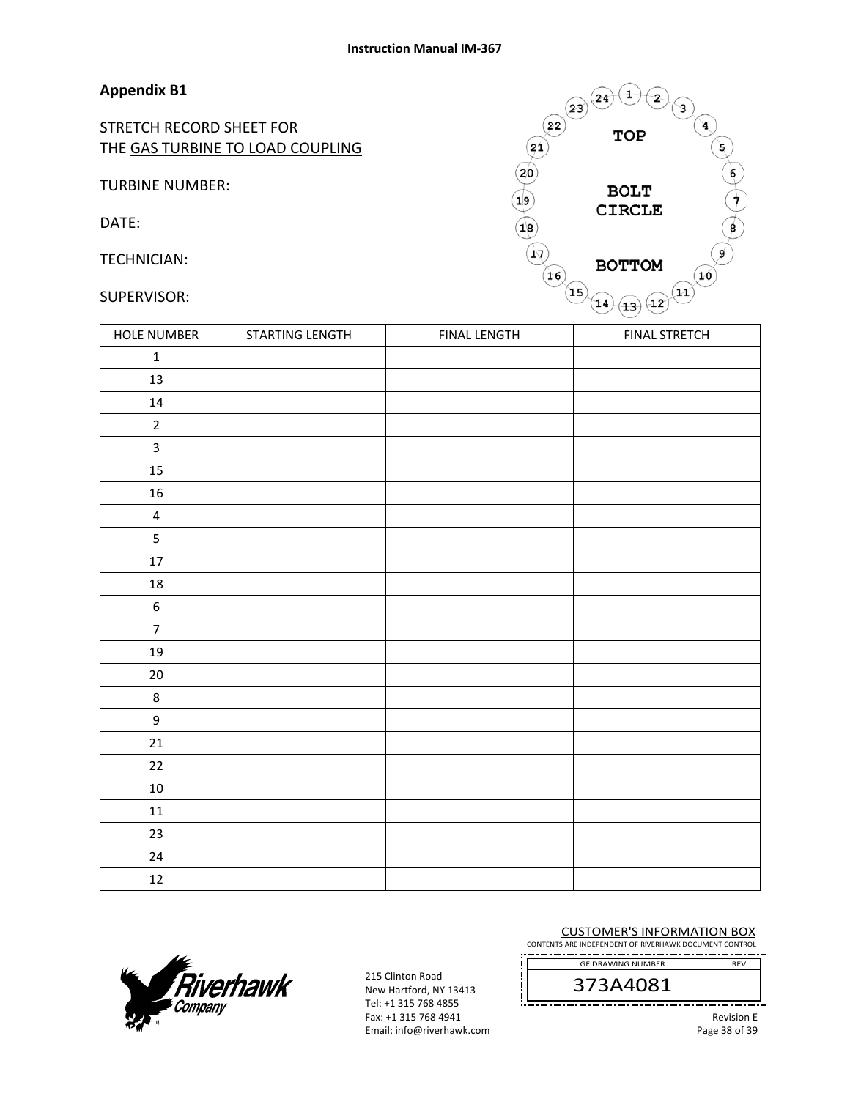#### **Appendix B1**

STRETCH RECORD SHEET FOR THE GAS TURBINE TO LOAD COUPLING

TURBINE NUMBER:

DATE:

TECHNICIAN:

#### SUPERVISOR:



| <b>HOLE NUMBER</b>      | STARTING LENGTH | <b>FINAL LENGTH</b> | <b>FINAL STRETCH</b> |
|-------------------------|-----------------|---------------------|----------------------|
| $\mathbf 1$             |                 |                     |                      |
| 13                      |                 |                     |                      |
| $14\,$                  |                 |                     |                      |
| $\overline{2}$          |                 |                     |                      |
| $\mathbf{3}$            |                 |                     |                      |
| 15                      |                 |                     |                      |
| 16                      |                 |                     |                      |
| $\overline{\mathbf{4}}$ |                 |                     |                      |
| 5                       |                 |                     |                      |
| 17                      |                 |                     |                      |
| $18\,$                  |                 |                     |                      |
| $\boldsymbol{6}$        |                 |                     |                      |
| $\overline{7}$          |                 |                     |                      |
| 19                      |                 |                     |                      |
| $20\,$                  |                 |                     |                      |
| $\,8\,$                 |                 |                     |                      |
| 9                       |                 |                     |                      |
| 21                      |                 |                     |                      |
| $22\,$                  |                 |                     |                      |
| $10\,$                  |                 |                     |                      |
| $11\,$                  |                 |                     |                      |
| $23\,$                  |                 |                     |                      |
| 24                      |                 |                     |                      |
| 12                      |                 |                     |                      |



215 Clinton Road New Hartford, NY 13413 Tel: +1 315 768 4855 Fax: +1 315 768 4941 Email: info@riverhawk.com

#### CUSTOMER'S INFORMATION BOX

CONTENTS ARE INDEPENDENT OF RIVERHAWK DOCUMENT CONTROL 

> 373A4081 GE DRAWING NUMBER

> > Revision E Page 38 of 39

REV